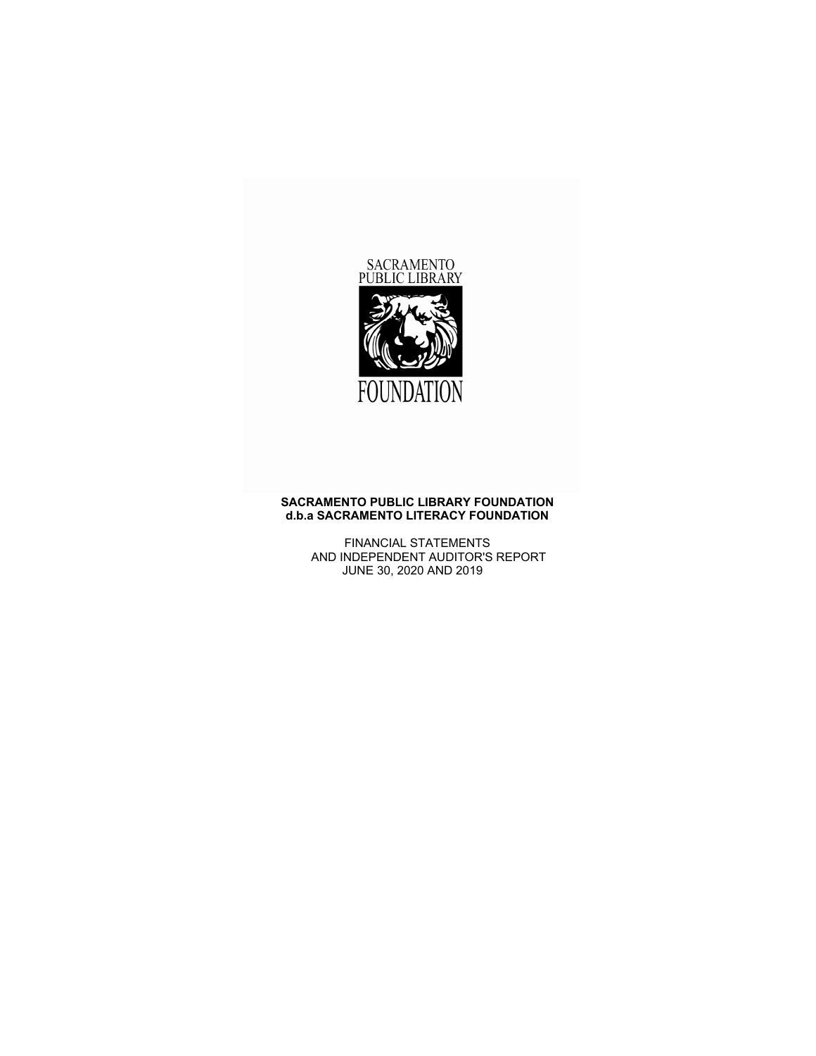

### **SACRAMENTO PUBLIC LIBRARY FOUNDATION d.b.a SACRAMENTO LITERACY FOUNDATION**

FINANCIAL STATEMENTS AND INDEPENDENT AUDITOR'S REPORT JUNE 30, 2020 AND 2019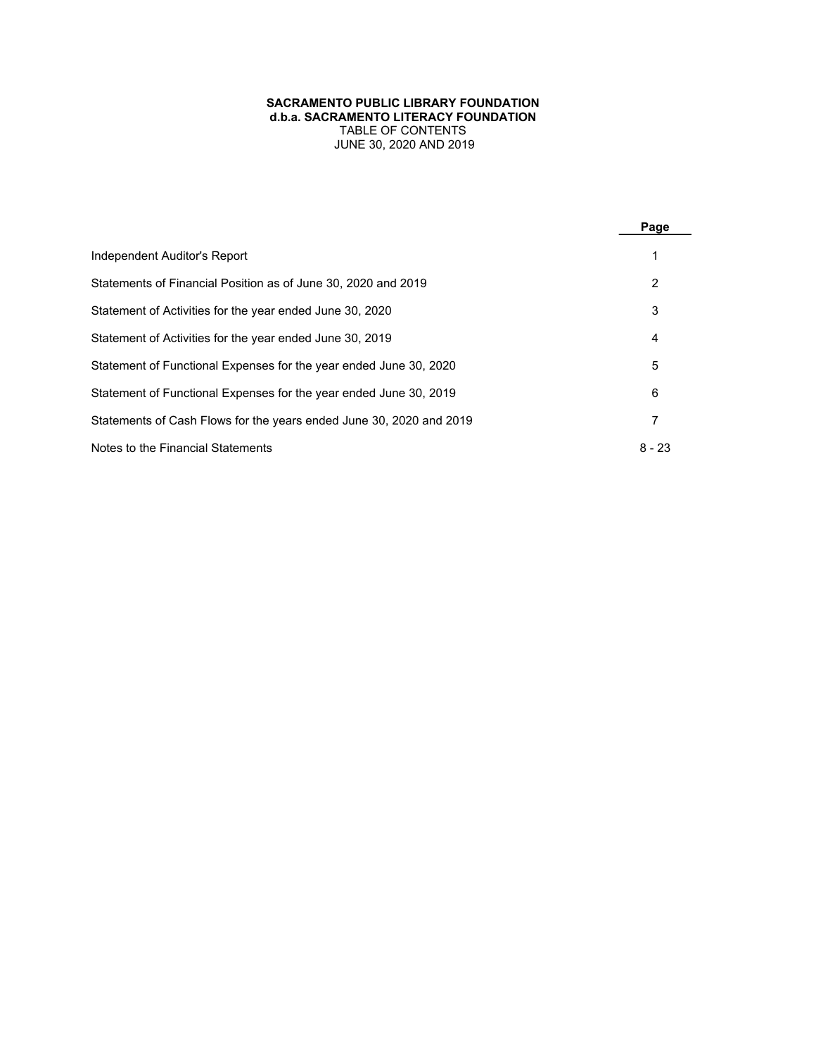## **SACRAMENTO PUBLIC LIBRARY FOUNDATION d.b.a. SACRAMENTO LITERACY FOUNDATION** TABLE OF CONTENTS JUNE 30, 2020 AND 2019

|                                                                     | Page     |
|---------------------------------------------------------------------|----------|
| Independent Auditor's Report                                        |          |
| Statements of Financial Position as of June 30, 2020 and 2019       | 2        |
| Statement of Activities for the year ended June 30, 2020            | 3        |
| Statement of Activities for the year ended June 30, 2019            | 4        |
| Statement of Functional Expenses for the year ended June 30, 2020   | 5        |
| Statement of Functional Expenses for the year ended June 30, 2019   | 6        |
| Statements of Cash Flows for the years ended June 30, 2020 and 2019 | 7        |
| Notes to the Financial Statements                                   | $8 - 23$ |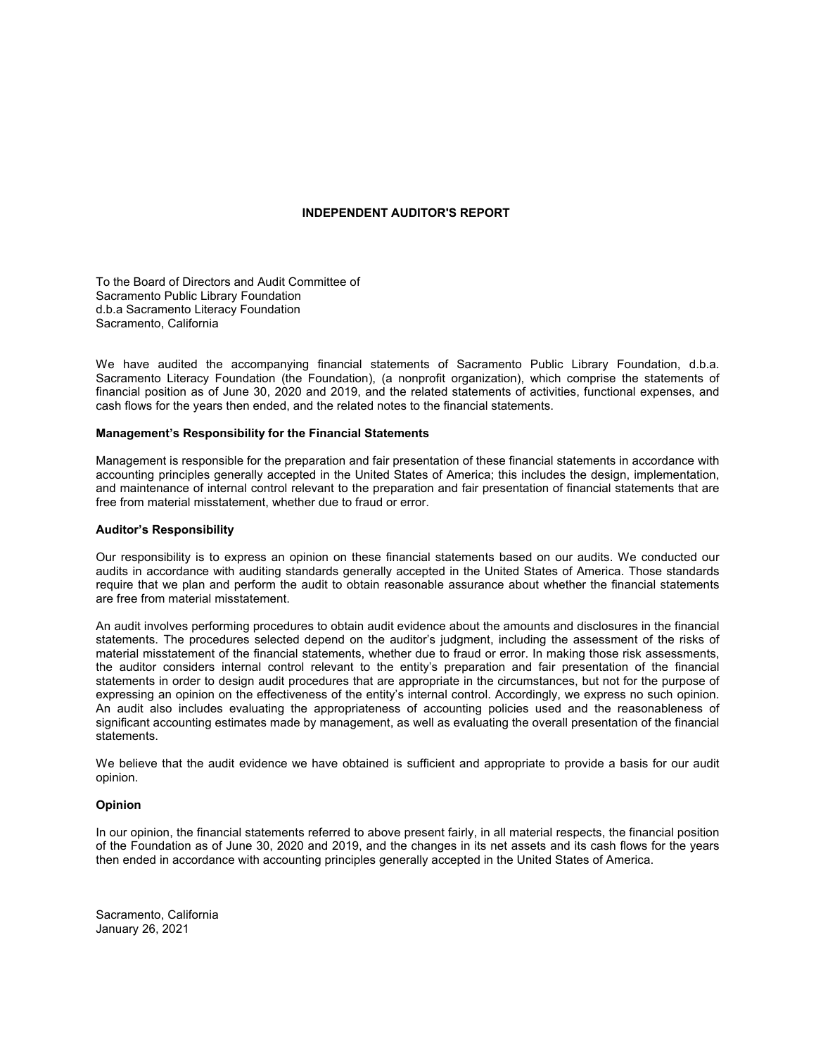## **INDEPENDENT AUDITOR'S REPORT**

To the Board of Directors and Audit Committee of Sacramento Public Library Foundation d.b.a Sacramento Literacy Foundation Sacramento, California

We have audited the accompanying financial statements of Sacramento Public Library Foundation, d.b.a. Sacramento Literacy Foundation (the Foundation), (a nonprofit organization), which comprise the statements of financial position as of June 30, 2020 and 2019, and the related statements of activities, functional expenses, and cash flows for the years then ended, and the related notes to the financial statements.

# **Management's Responsibility for the Financial Statements**

Management is responsible for the preparation and fair presentation of these financial statements in accordance with accounting principles generally accepted in the United States of America; this includes the design, implementation, and maintenance of internal control relevant to the preparation and fair presentation of financial statements that are free from material misstatement, whether due to fraud or error.

#### **Auditor's Responsibility**

Our responsibility is to express an opinion on these financial statements based on our audits. We conducted our audits in accordance with auditing standards generally accepted in the United States of America. Those standards require that we plan and perform the audit to obtain reasonable assurance about whether the financial statements are free from material misstatement.

An audit involves performing procedures to obtain audit evidence about the amounts and disclosures in the financial statements. The procedures selected depend on the auditor's judgment, including the assessment of the risks of material misstatement of the financial statements, whether due to fraud or error. In making those risk assessments, the auditor considers internal control relevant to the entity's preparation and fair presentation of the financial statements in order to design audit procedures that are appropriate in the circumstances, but not for the purpose of expressing an opinion on the effectiveness of the entity's internal control. Accordingly, we express no such opinion. An audit also includes evaluating the appropriateness of accounting policies used and the reasonableness of significant accounting estimates made by management, as well as evaluating the overall presentation of the financial statements.

We believe that the audit evidence we have obtained is sufficient and appropriate to provide a basis for our audit opinion.

#### **Opinion**

In our opinion, the financial statements referred to above present fairly, in all material respects, the financial position of the Foundation as of June 30, 2020 and 2019, and the changes in its net assets and its cash flows for the years then ended in accordance with accounting principles generally accepted in the United States of America.

Sacramento, California January 26, 2021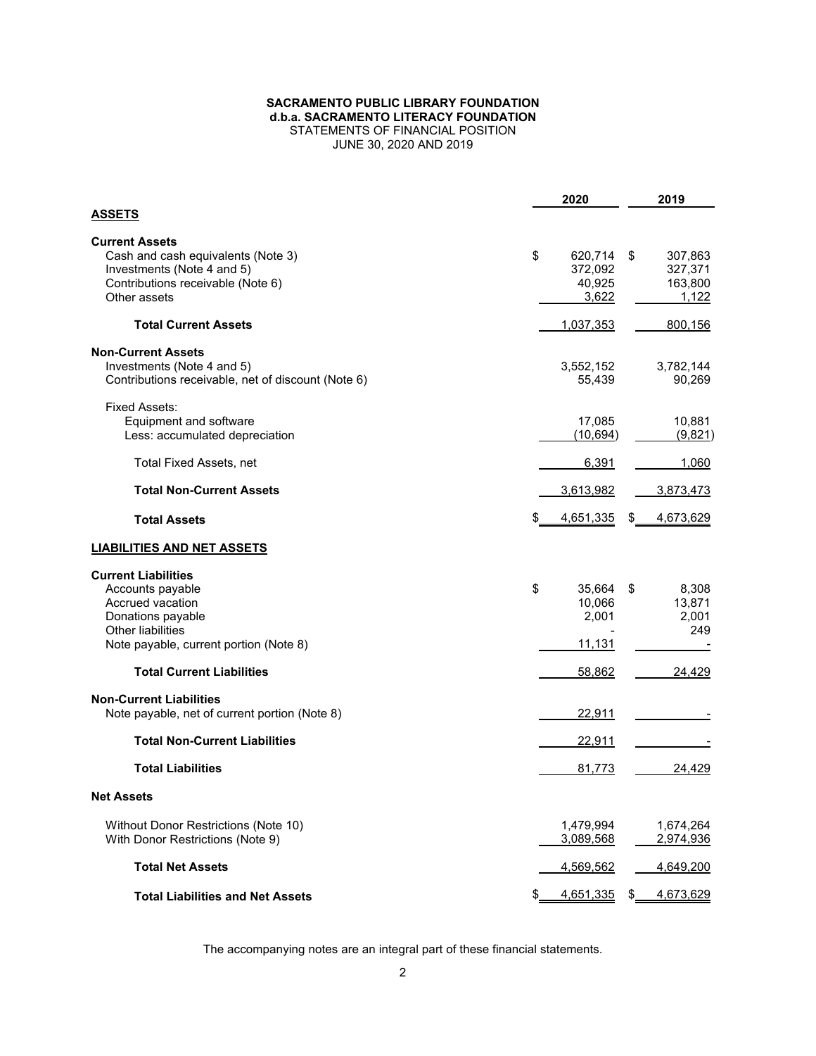### **SACRAMENTO PUBLIC LIBRARY FOUNDATION d.b.a. SACRAMENTO LITERACY FOUNDATION** STATEMENTS OF FINANCIAL POSITION JUNE 30, 2020 AND 2019

|                                                                                                                                                        | 2020                                        | 2019                                         |
|--------------------------------------------------------------------------------------------------------------------------------------------------------|---------------------------------------------|----------------------------------------------|
| <b>ASSETS</b>                                                                                                                                          |                                             |                                              |
| <b>Current Assets</b><br>Cash and cash equivalents (Note 3)<br>Investments (Note 4 and 5)<br>Contributions receivable (Note 6)<br>Other assets         | \$<br>620,714<br>372,092<br>40,925<br>3,622 | \$<br>307,863<br>327,371<br>163,800<br>1,122 |
| <b>Total Current Assets</b>                                                                                                                            | 1,037,353                                   | 800,156                                      |
| <b>Non-Current Assets</b><br>Investments (Note 4 and 5)<br>Contributions receivable, net of discount (Note 6)                                          | 3,552,152<br>55,439                         | 3,782,144<br>90,269                          |
| Fixed Assets:<br>Equipment and software<br>Less: accumulated depreciation                                                                              | 17,085<br>(10, 694)                         | 10,881<br>(9,821)                            |
| Total Fixed Assets, net                                                                                                                                | 6,391                                       | 1,060                                        |
| <b>Total Non-Current Assets</b>                                                                                                                        | 3,613,982                                   | 3,873,473                                    |
| <b>Total Assets</b>                                                                                                                                    | 4,651,335                                   | 4,673,629                                    |
| <b>LIABILITIES AND NET ASSETS</b>                                                                                                                      |                                             |                                              |
| <b>Current Liabilities</b><br>Accounts payable<br>Accrued vacation<br>Donations payable<br>Other liabilities<br>Note payable, current portion (Note 8) | \$<br>35,664<br>10,066<br>2,001<br>11,131   | 8,308<br>\$<br>13,871<br>2,001<br>249        |
| <b>Total Current Liabilities</b>                                                                                                                       | 58,862                                      | 24,429                                       |
| <b>Non-Current Liabilities</b><br>Note payable, net of current portion (Note 8)                                                                        | 22,911                                      |                                              |
| <b>Total Non-Current Liabilities</b>                                                                                                                   | 22,911                                      |                                              |
| <b>Total Liabilities</b>                                                                                                                               | 81,773                                      | 24,429                                       |
| <b>Net Assets</b>                                                                                                                                      |                                             |                                              |
| Without Donor Restrictions (Note 10)<br>With Donor Restrictions (Note 9)                                                                               | 1,479,994<br>3,089,568                      | 1,674,264<br>2,974,936                       |
| <b>Total Net Assets</b>                                                                                                                                | <u>4,569,562</u>                            | <u>4,649,200</u>                             |
| <b>Total Liabilities and Net Assets</b>                                                                                                                | 4,651,335                                   | 4,673,629                                    |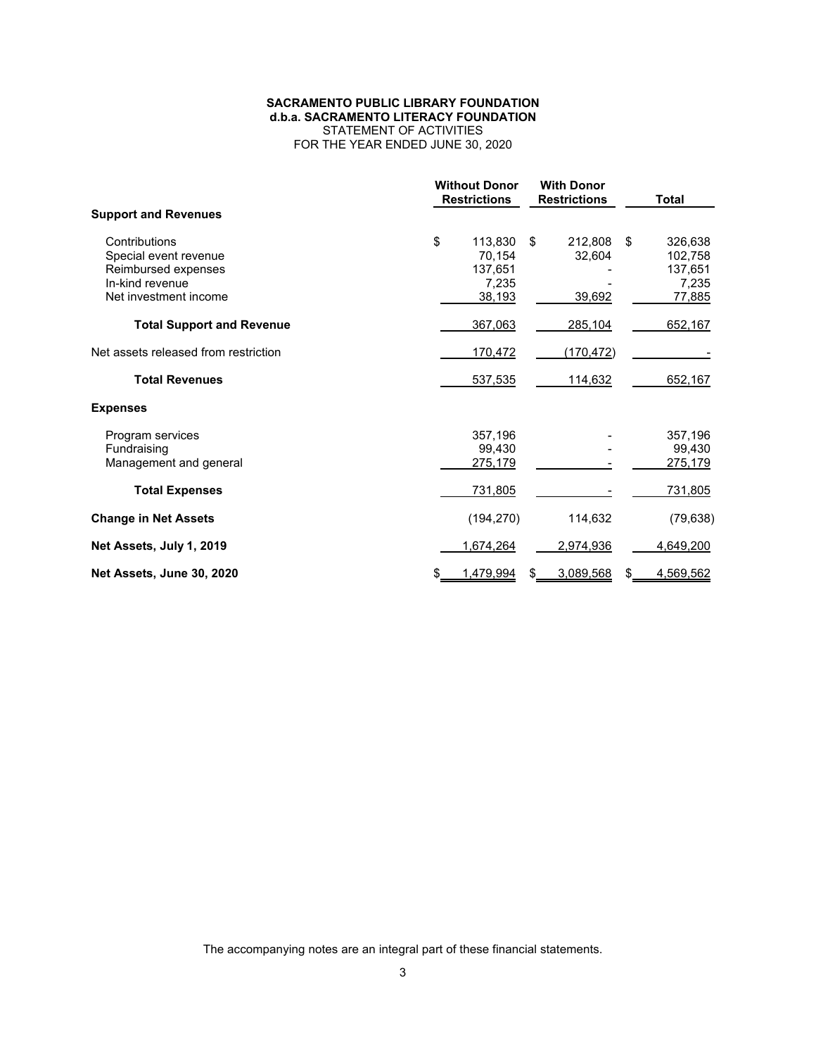# **SACRAMENTO PUBLIC LIBRARY FOUNDATION d.b.a. SACRAMENTO LITERACY FOUNDATION** STATEMENT OF ACTIVITIES

FOR THE YEAR ENDED JUNE 30, 2020

|                                      | <b>Without Donor</b><br><b>Restrictions</b> |    | <b>With Donor</b><br><b>Restrictions</b> |    | <b>Total</b> |
|--------------------------------------|---------------------------------------------|----|------------------------------------------|----|--------------|
| <b>Support and Revenues</b>          |                                             |    |                                          |    |              |
| Contributions                        | \$<br>113,830                               | \$ | 212,808                                  | \$ | 326,638      |
| Special event revenue                | 70,154                                      |    | 32,604                                   |    | 102,758      |
| Reimbursed expenses                  | 137,651                                     |    |                                          |    | 137,651      |
| In-kind revenue                      | 7,235                                       |    |                                          |    | 7,235        |
| Net investment income                | 38,193                                      |    | 39,692                                   |    | 77,885       |
| <b>Total Support and Revenue</b>     | 367,063                                     |    | 285,104                                  |    | 652,167      |
| Net assets released from restriction | 170,472                                     |    | (170, 472)                               |    |              |
| <b>Total Revenues</b>                | 537,535                                     |    | 114,632                                  |    | 652,167      |
| <b>Expenses</b>                      |                                             |    |                                          |    |              |
| Program services                     | 357,196                                     |    |                                          |    | 357,196      |
| Fundraising                          | 99.430                                      |    |                                          |    | 99.430       |
| Management and general               | 275,179                                     |    |                                          |    | 275,179      |
| <b>Total Expenses</b>                | 731,805                                     |    |                                          |    | 731,805      |
| <b>Change in Net Assets</b>          | (194, 270)                                  |    | 114,632                                  |    | (79, 638)    |
| Net Assets, July 1, 2019             | 1,674,264                                   |    | 2,974,936                                |    | 4,649,200    |
| Net Assets, June 30, 2020            | \$<br>1,479,994                             |    | 3,089,568                                | S  | 4,569,562    |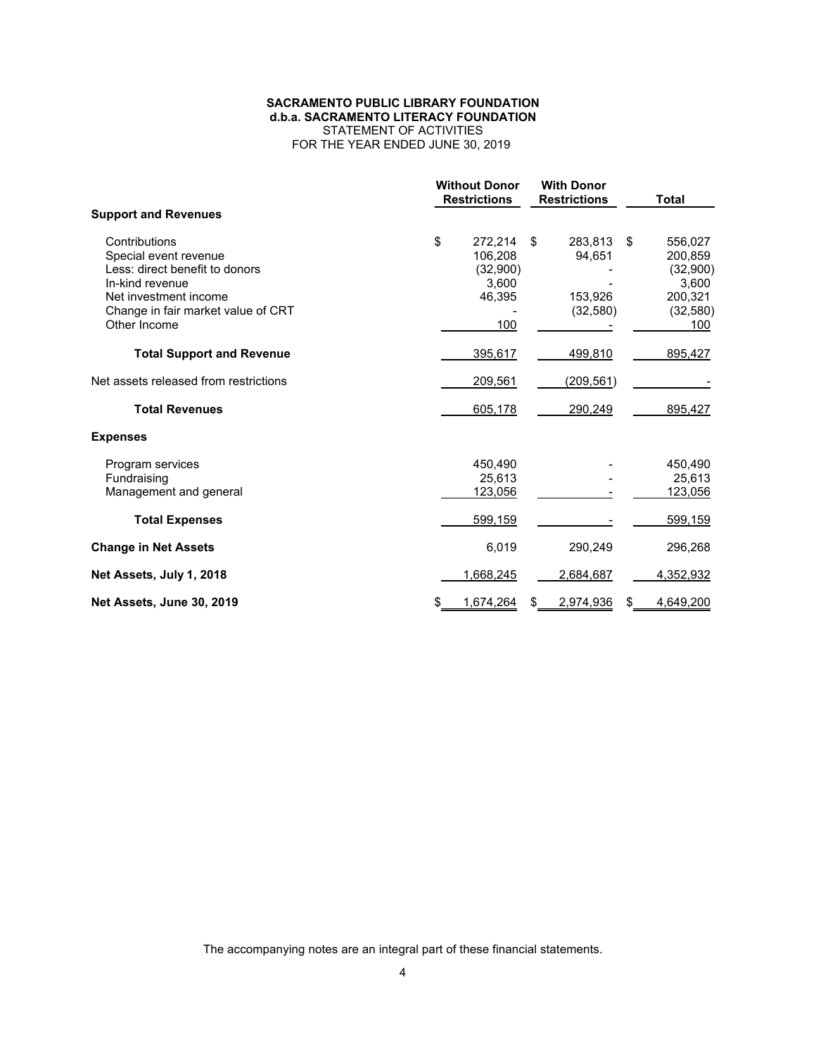### **SACRAMENTO PUBLIC LIBRARY FOUNDATION d.b.a. SACRAMENTO LITERACY FOUNDATION** STATEMENT OF ACTIVITIES FOR THE YEAR ENDED JUNE 30, 2019

|                                                                                                                                                                            |    | <b>Without Donor</b><br><b>Restrictions</b>              |    | <b>With Donor</b><br><b>Restrictions</b>  |    | <b>Total</b>                                                           |
|----------------------------------------------------------------------------------------------------------------------------------------------------------------------------|----|----------------------------------------------------------|----|-------------------------------------------|----|------------------------------------------------------------------------|
| <b>Support and Revenues</b>                                                                                                                                                |    |                                                          |    |                                           |    |                                                                        |
| Contributions<br>Special event revenue<br>Less: direct benefit to donors<br>In-kind revenue<br>Net investment income<br>Change in fair market value of CRT<br>Other Income | \$ | 272,214<br>106.208<br>(32,900)<br>3,600<br>46,395<br>100 | \$ | 283,813<br>94,651<br>153,926<br>(32, 580) | \$ | 556,027<br>200,859<br>(32,900)<br>3,600<br>200,321<br>(32, 580)<br>100 |
| <b>Total Support and Revenue</b>                                                                                                                                           |    | 395,617                                                  |    | 499,810                                   |    | 895,427                                                                |
| Net assets released from restrictions                                                                                                                                      |    | 209,561                                                  |    | (209, 561)                                |    |                                                                        |
| <b>Total Revenues</b>                                                                                                                                                      |    | 605,178                                                  |    | 290,249                                   |    | 895,427                                                                |
| <b>Expenses</b>                                                                                                                                                            |    |                                                          |    |                                           |    |                                                                        |
| Program services<br>Fundraising<br>Management and general                                                                                                                  |    | 450,490<br>25,613<br>123,056                             |    |                                           |    | 450,490<br>25,613<br>123,056                                           |
| <b>Total Expenses</b>                                                                                                                                                      |    | 599,159                                                  |    |                                           |    | 599,159                                                                |
| <b>Change in Net Assets</b>                                                                                                                                                |    | 6,019                                                    |    | 290,249                                   |    | 296,268                                                                |
| Net Assets, July 1, 2018                                                                                                                                                   |    | 1,668,245                                                |    | 2,684,687                                 |    | 4,352,932                                                              |
| Net Assets, June 30, 2019                                                                                                                                                  | S  | 1,674,264                                                | S  | 2,974,936                                 | \$ | 4,649,200                                                              |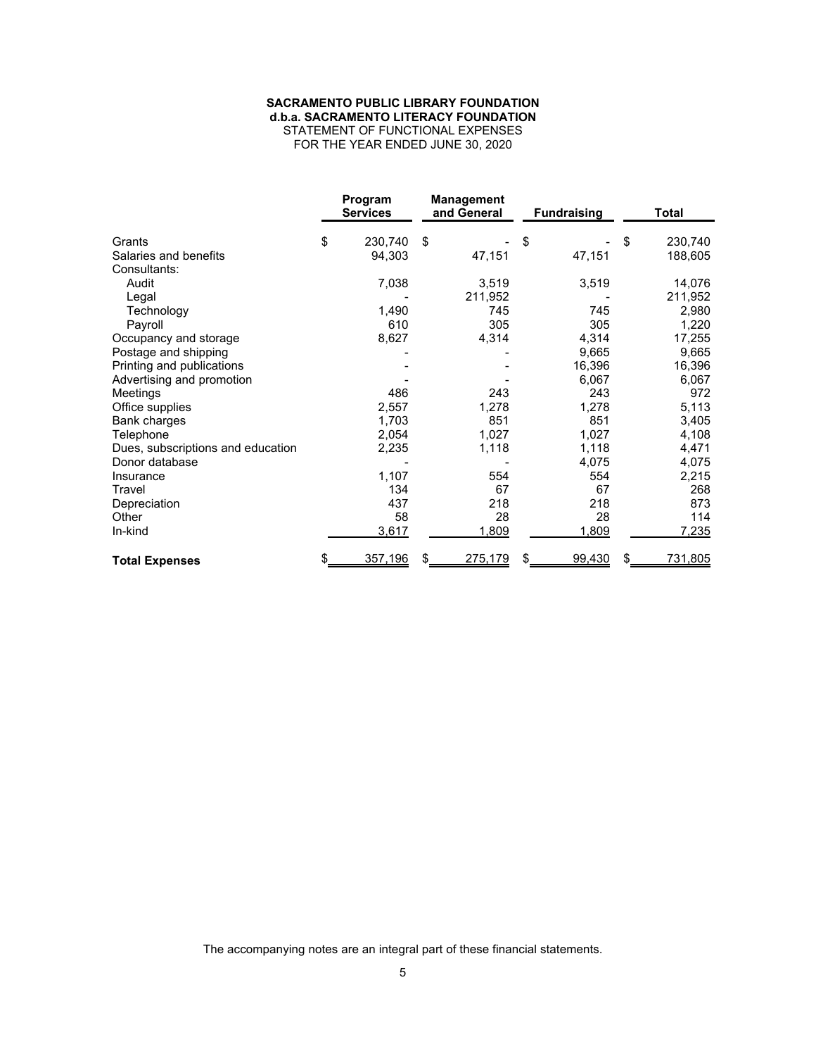## **SACRAMENTO PUBLIC LIBRARY FOUNDATION d.b.a. SACRAMENTO LITERACY FOUNDATION**

STATEMENT OF FUNCTIONAL EXPENSES FOR THE YEAR ENDED JUNE 30, 2020

|                                   | Program<br><b>Services</b> | <b>Management</b><br>and General | <b>Fundraising</b> | <b>Total</b>         |
|-----------------------------------|----------------------------|----------------------------------|--------------------|----------------------|
| Grants                            | \$<br>230,740              | \$                               | \$                 | \$<br>230,740        |
| Salaries and benefits             | 94,303                     | 47,151                           | 47,151             | 188,605              |
| Consultants:                      |                            |                                  |                    |                      |
| Audit                             | 7,038                      | 3,519                            | 3,519              | 14,076               |
| Legal                             |                            | 211,952                          |                    | 211,952              |
| Technology                        | 1,490                      | 745                              | 745                | 2,980                |
| Payroll                           | 610                        | 305                              | 305                | 1,220                |
| Occupancy and storage             | 8,627                      | 4,314                            | 4,314              | 17,255               |
| Postage and shipping              |                            |                                  | 9,665              | 9,665                |
| Printing and publications         |                            |                                  | 16,396             | 16,396               |
| Advertising and promotion         |                            |                                  | 6,067              | 6,067                |
| Meetings                          | 486                        | 243                              | 243                | 972                  |
| Office supplies                   | 2,557                      | 1,278                            | 1,278              | 5,113                |
| Bank charges                      | 1,703                      | 851                              | 851                | 3,405                |
| Telephone                         | 2,054                      | 1,027                            | 1,027              | 4,108                |
| Dues, subscriptions and education | 2,235                      | 1,118                            | 1,118              | 4,471                |
| Donor database                    |                            |                                  | 4,075              | 4,075                |
| Insurance                         | 1,107                      | 554                              | 554                | 2,215                |
| Travel                            | 134                        | 67                               | 67                 | 268                  |
| Depreciation                      | 437                        | 218                              | 218                | 873                  |
| Other                             | 58                         | 28                               | 28                 | 114                  |
| In-kind                           | 3,617                      | 1,809                            | 1,809              | 7,235                |
| <b>Total Expenses</b>             | \$<br>357,196              | 275,179                          | 99,430             | \$<br><u>731,805</u> |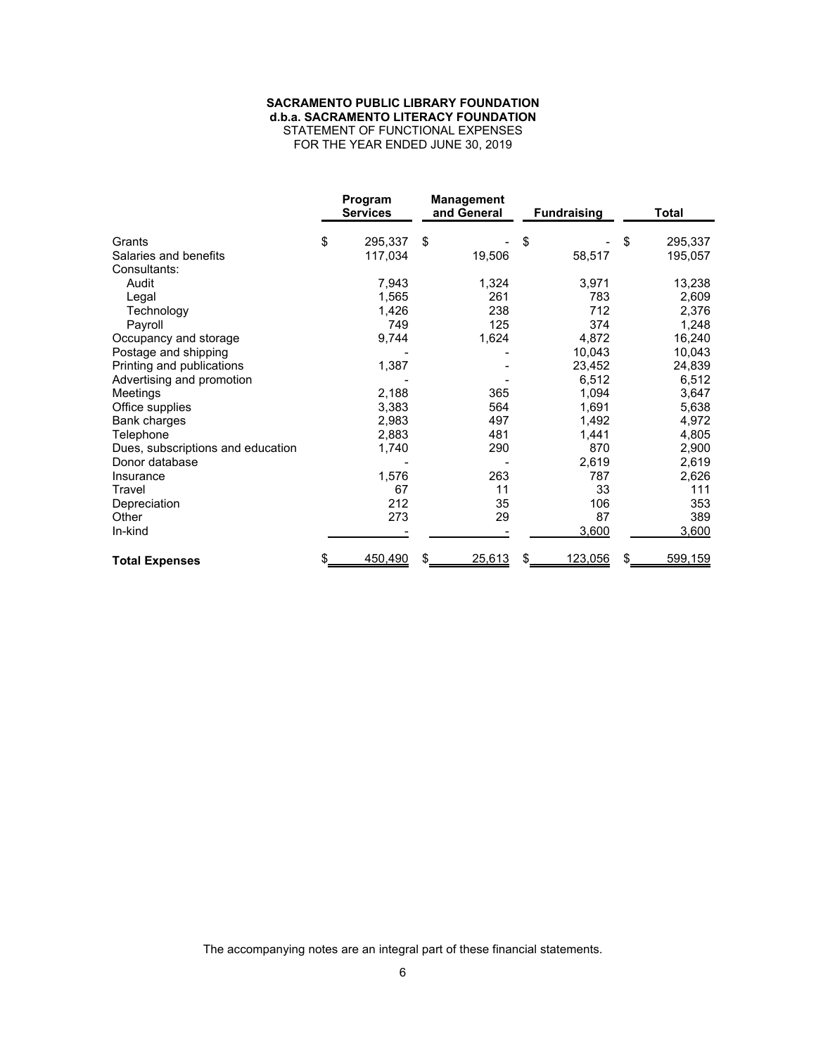## **SACRAMENTO PUBLIC LIBRARY FOUNDATION d.b.a. SACRAMENTO LITERACY FOUNDATION**

STATEMENT OF FUNCTIONAL EXPENSES FOR THE YEAR ENDED JUNE 30, 2019

|                                   | Program<br><b>Services</b> | <b>Management</b><br>and General | <b>Fundraising</b> | <b>Total</b>  |
|-----------------------------------|----------------------------|----------------------------------|--------------------|---------------|
| Grants                            | \$<br>295,337              | \$                               | \$                 | \$<br>295,337 |
| Salaries and benefits             | 117,034                    | 19,506                           | 58,517             | 195,057       |
| Consultants:                      |                            |                                  |                    |               |
| Audit                             | 7,943                      | 1,324                            | 3,971              | 13,238        |
| Legal                             | 1,565                      | 261                              | 783                | 2,609         |
| Technology                        | 1,426                      | 238                              | 712                | 2,376         |
| Payroll                           | 749                        | 125                              | 374                | 1,248         |
| Occupancy and storage             | 9,744                      | 1,624                            | 4,872              | 16,240        |
| Postage and shipping              |                            |                                  | 10,043             | 10,043        |
| Printing and publications         | 1,387                      |                                  | 23,452             | 24,839        |
| Advertising and promotion         |                            |                                  | 6,512              | 6,512         |
| Meetings                          | 2,188                      | 365                              | 1,094              | 3,647         |
| Office supplies                   | 3,383                      | 564                              | 1,691              | 5,638         |
| Bank charges                      | 2,983                      | 497                              | 1,492              | 4,972         |
| Telephone                         | 2,883                      | 481                              | 1,441              | 4,805         |
| Dues, subscriptions and education | 1,740                      | 290                              | 870                | 2,900         |
| Donor database                    |                            |                                  | 2,619              | 2,619         |
| Insurance                         | 1,576                      | 263                              | 787                | 2,626         |
| Travel                            | 67                         | 11                               | 33                 | 111           |
| Depreciation                      | 212                        | 35                               | 106                | 353           |
| Other                             | 273                        | 29                               | 87                 | 389           |
| In-kind                           |                            |                                  | 3,600              | 3,600         |
| <b>Total Expenses</b>             | \$<br>450,490              | 25,613<br>S.                     | 123,056<br>\$      | \$<br>599,159 |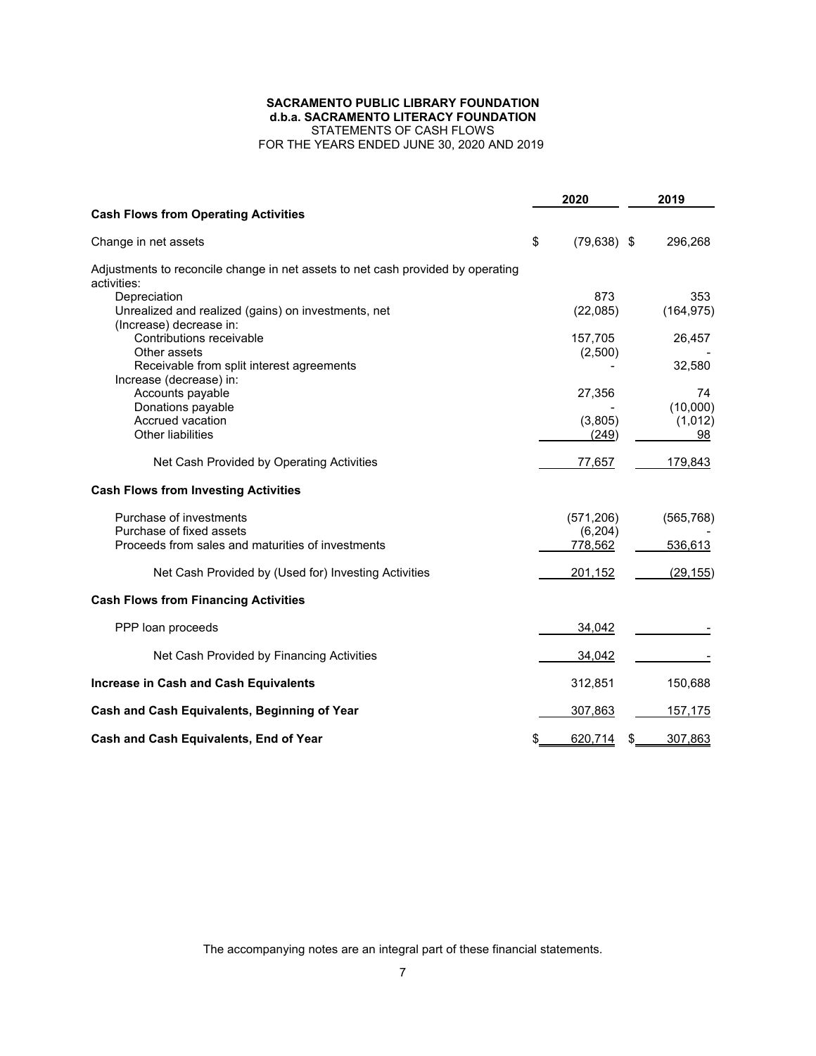# **SACRAMENTO PUBLIC LIBRARY FOUNDATION d.b.a. SACRAMENTO LITERACY FOUNDATION** STATEMENTS OF CASH FLOWS

FOR THE YEARS ENDED JUNE 30, 2020 AND 2019

|                                                                                                | 2020                 | 2019           |
|------------------------------------------------------------------------------------------------|----------------------|----------------|
| <b>Cash Flows from Operating Activities</b>                                                    |                      |                |
| Change in net assets                                                                           | \$<br>$(79, 638)$ \$ | 296,268        |
| Adjustments to reconcile change in net assets to net cash provided by operating<br>activities: |                      |                |
| Depreciation                                                                                   | 873                  | 353            |
| Unrealized and realized (gains) on investments, net<br>(Increase) decrease in:                 | (22,085)             | (164, 975)     |
| Contributions receivable                                                                       | 157,705              | 26,457         |
| Other assets                                                                                   | (2,500)              |                |
| Receivable from split interest agreements                                                      |                      | 32,580         |
| Increase (decrease) in:<br>Accounts payable                                                    | 27,356               | 74             |
| Donations payable                                                                              |                      | (10,000)       |
| Accrued vacation                                                                               | (3,805)              | (1,012)        |
| Other liabilities                                                                              | (249)                | 98             |
| Net Cash Provided by Operating Activities                                                      | 77,657               | 179,843        |
| <b>Cash Flows from Investing Activities</b>                                                    |                      |                |
| Purchase of investments                                                                        | (571, 206)           | (565, 768)     |
| Purchase of fixed assets                                                                       | (6,204)              |                |
| Proceeds from sales and maturities of investments                                              | 778,562              | 536,613        |
| Net Cash Provided by (Used for) Investing Activities                                           | 201,152              | (29, 155)      |
| <b>Cash Flows from Financing Activities</b>                                                    |                      |                |
| PPP loan proceeds                                                                              | 34,042               |                |
| Net Cash Provided by Financing Activities                                                      | 34,042               |                |
| <b>Increase in Cash and Cash Equivalents</b>                                                   | 312,851              | 150,688        |
| Cash and Cash Equivalents, Beginning of Year                                                   | 307,863              | <u>157,175</u> |
| Cash and Cash Equivalents, End of Year                                                         | \$<br>620,714        | \$<br>307,863  |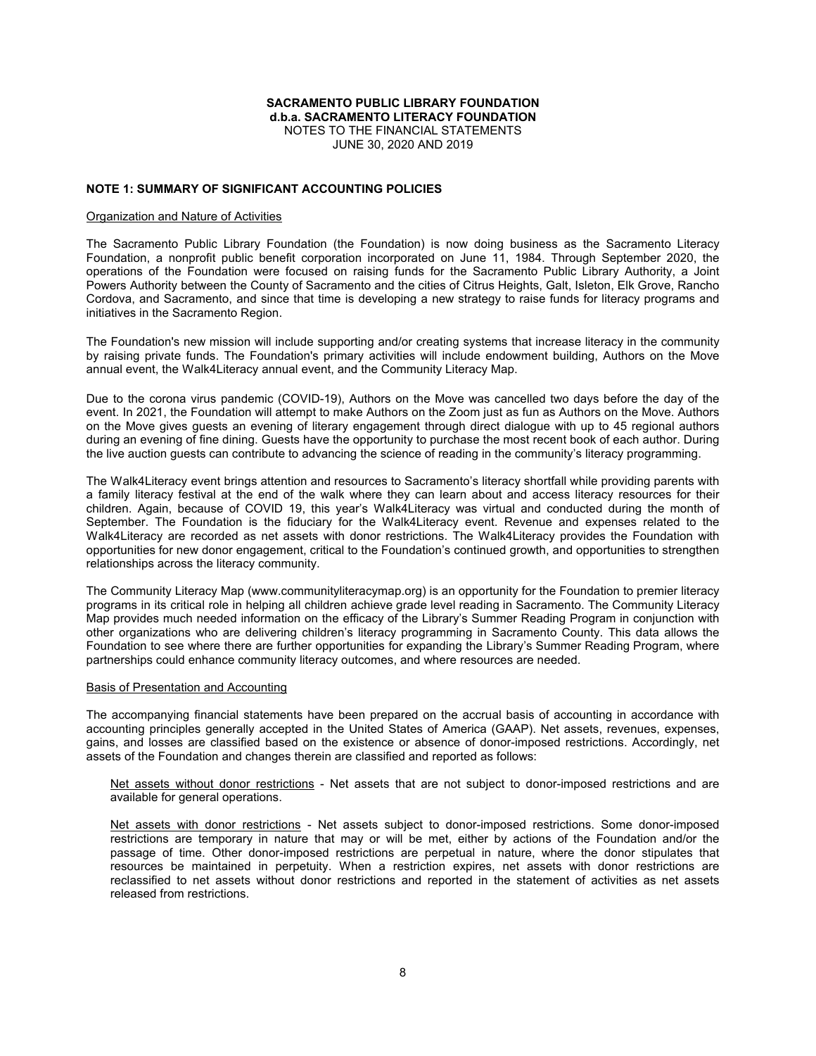### **NOTE 1: SUMMARY OF SIGNIFICANT ACCOUNTING POLICIES**

#### Organization and Nature of Activities

The Sacramento Public Library Foundation (the Foundation) is now doing business as the Sacramento Literacy Foundation, a nonprofit public benefit corporation incorporated on June 11, 1984. Through September 2020, the operations of the Foundation were focused on raising funds for the Sacramento Public Library Authority, a Joint Powers Authority between the County of Sacramento and the cities of Citrus Heights, Galt, Isleton, Elk Grove, Rancho Cordova, and Sacramento, and since that time is developing a new strategy to raise funds for literacy programs and initiatives in the Sacramento Region.

The Foundation's new mission will include supporting and/or creating systems that increase literacy in the community by raising private funds. The Foundation's primary activities will include endowment building, Authors on the Move annual event, the Walk4Literacy annual event, and the Community Literacy Map.

Due to the corona virus pandemic (COVID-19), Authors on the Move was cancelled two days before the day of the event. In 2021, the Foundation will attempt to make Authors on the Zoom just as fun as Authors on the Move. Authors on the Move gives guests an evening of literary engagement through direct dialogue with up to 45 regional authors during an evening of fine dining. Guests have the opportunity to purchase the most recent book of each author. During the live auction guests can contribute to advancing the science of reading in the community's literacy programming.

The Walk4Literacy event brings attention and resources to Sacramento's literacy shortfall while providing parents with a family literacy festival at the end of the walk where they can learn about and access literacy resources for their children. Again, because of COVID 19, this year's Walk4Literacy was virtual and conducted during the month of September. The Foundation is the fiduciary for the Walk4Literacy event. Revenue and expenses related to the Walk4Literacy are recorded as net assets with donor restrictions. The Walk4Literacy provides the Foundation with opportunities for new donor engagement, critical to the Foundation's continued growth, and opportunities to strengthen relationships across the literacy community.

The Community Literacy Map (www.communityliteracymap.org) is an opportunity for the Foundation to premier literacy programs in its critical role in helping all children achieve grade level reading in Sacramento. The Community Literacy Map provides much needed information on the efficacy of the Library's Summer Reading Program in conjunction with other organizations who are delivering children's literacy programming in Sacramento County. This data allows the Foundation to see where there are further opportunities for expanding the Library's Summer Reading Program, where partnerships could enhance community literacy outcomes, and where resources are needed.

#### Basis of Presentation and Accounting

The accompanying financial statements have been prepared on the accrual basis of accounting in accordance with accounting principles generally accepted in the United States of America (GAAP). Net assets, revenues, expenses, gains, and losses are classified based on the existence or absence of donor-imposed restrictions. Accordingly, net assets of the Foundation and changes therein are classified and reported as follows:

Net assets without donor restrictions - Net assets that are not subject to donor-imposed restrictions and are available for general operations.

Net assets with donor restrictions - Net assets subject to donor-imposed restrictions. Some donor-imposed restrictions are temporary in nature that may or will be met, either by actions of the Foundation and/or the passage of time. Other donor-imposed restrictions are perpetual in nature, where the donor stipulates that resources be maintained in perpetuity. When a restriction expires, net assets with donor restrictions are reclassified to net assets without donor restrictions and reported in the statement of activities as net assets released from restrictions.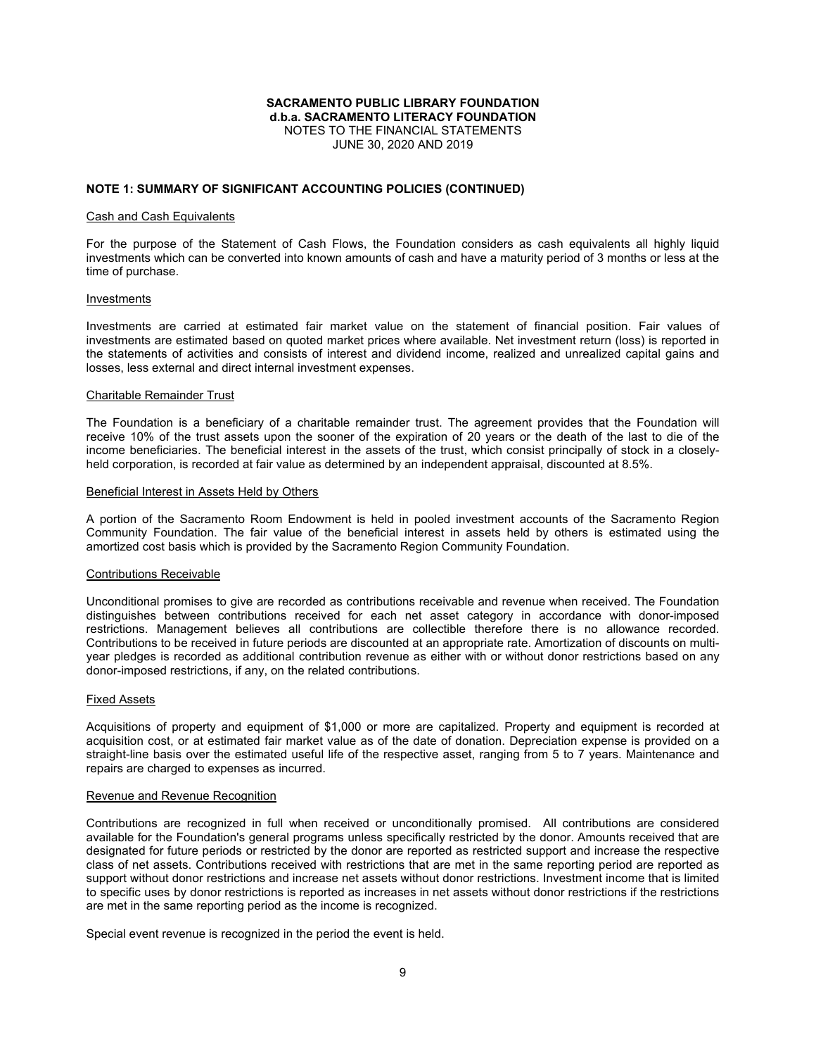#### **NOTE 1: SUMMARY OF SIGNIFICANT ACCOUNTING POLICIES (CONTINUED)**

#### Cash and Cash Equivalents

For the purpose of the Statement of Cash Flows, the Foundation considers as cash equivalents all highly liquid investments which can be converted into known amounts of cash and have a maturity period of 3 months or less at the time of purchase.

#### Investments

Investments are carried at estimated fair market value on the statement of financial position. Fair values of investments are estimated based on quoted market prices where available. Net investment return (loss) is reported in the statements of activities and consists of interest and dividend income, realized and unrealized capital gains and losses, less external and direct internal investment expenses.

#### Charitable Remainder Trust

The Foundation is a beneficiary of a charitable remainder trust. The agreement provides that the Foundation will receive 10% of the trust assets upon the sooner of the expiration of 20 years or the death of the last to die of the income beneficiaries. The beneficial interest in the assets of the trust, which consist principally of stock in a closelyheld corporation, is recorded at fair value as determined by an independent appraisal, discounted at 8.5%.

#### Beneficial Interest in Assets Held by Others

A portion of the Sacramento Room Endowment is held in pooled investment accounts of the Sacramento Region Community Foundation. The fair value of the beneficial interest in assets held by others is estimated using the amortized cost basis which is provided by the Sacramento Region Community Foundation.

#### Contributions Receivable

Unconditional promises to give are recorded as contributions receivable and revenue when received. The Foundation distinguishes between contributions received for each net asset category in accordance with donor-imposed restrictions. Management believes all contributions are collectible therefore there is no allowance recorded. Contributions to be received in future periods are discounted at an appropriate rate. Amortization of discounts on multiyear pledges is recorded as additional contribution revenue as either with or without donor restrictions based on any donor-imposed restrictions, if any, on the related contributions.

#### Fixed Assets

Acquisitions of property and equipment of \$1,000 or more are capitalized. Property and equipment is recorded at acquisition cost, or at estimated fair market value as of the date of donation. Depreciation expense is provided on a straight-line basis over the estimated useful life of the respective asset, ranging from 5 to 7 years. Maintenance and repairs are charged to expenses as incurred.

#### Revenue and Revenue Recognition

Contributions are recognized in full when received or unconditionally promised. All contributions are considered available for the Foundation's general programs unless specifically restricted by the donor. Amounts received that are designated for future periods or restricted by the donor are reported as restricted support and increase the respective class of net assets. Contributions received with restrictions that are met in the same reporting period are reported as support without donor restrictions and increase net assets without donor restrictions. Investment income that is limited to specific uses by donor restrictions is reported as increases in net assets without donor restrictions if the restrictions are met in the same reporting period as the income is recognized.

Special event revenue is recognized in the period the event is held.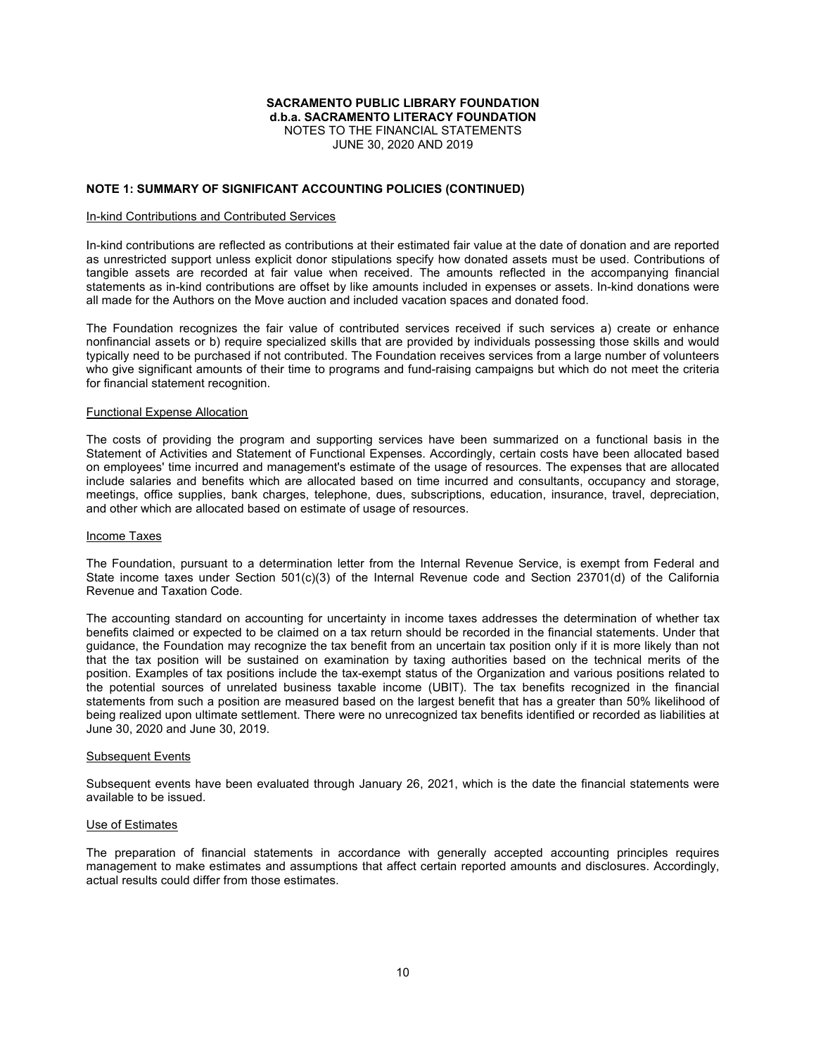### **NOTE 1: SUMMARY OF SIGNIFICANT ACCOUNTING POLICIES (CONTINUED)**

#### In-kind Contributions and Contributed Services

In-kind contributions are reflected as contributions at their estimated fair value at the date of donation and are reported as unrestricted support unless explicit donor stipulations specify how donated assets must be used. Contributions of tangible assets are recorded at fair value when received. The amounts reflected in the accompanying financial statements as in-kind contributions are offset by like amounts included in expenses or assets. In-kind donations were all made for the Authors on the Move auction and included vacation spaces and donated food.

The Foundation recognizes the fair value of contributed services received if such services a) create or enhance nonfinancial assets or b) require specialized skills that are provided by individuals possessing those skills and would typically need to be purchased if not contributed. The Foundation receives services from a large number of volunteers who give significant amounts of their time to programs and fund-raising campaigns but which do not meet the criteria for financial statement recognition.

#### Functional Expense Allocation

The costs of providing the program and supporting services have been summarized on a functional basis in the Statement of Activities and Statement of Functional Expenses. Accordingly, certain costs have been allocated based on employees' time incurred and management's estimate of the usage of resources. The expenses that are allocated include salaries and benefits which are allocated based on time incurred and consultants, occupancy and storage, meetings, office supplies, bank charges, telephone, dues, subscriptions, education, insurance, travel, depreciation, and other which are allocated based on estimate of usage of resources.

#### Income Taxes

The Foundation, pursuant to a determination letter from the Internal Revenue Service, is exempt from Federal and State income taxes under Section 501(c)(3) of the Internal Revenue code and Section 23701(d) of the California Revenue and Taxation Code.

The accounting standard on accounting for uncertainty in income taxes addresses the determination of whether tax benefits claimed or expected to be claimed on a tax return should be recorded in the financial statements. Under that guidance, the Foundation may recognize the tax benefit from an uncertain tax position only if it is more likely than not that the tax position will be sustained on examination by taxing authorities based on the technical merits of the position. Examples of tax positions include the tax-exempt status of the Organization and various positions related to the potential sources of unrelated business taxable income (UBIT). The tax benefits recognized in the financial statements from such a position are measured based on the largest benefit that has a greater than 50% likelihood of being realized upon ultimate settlement. There were no unrecognized tax benefits identified or recorded as liabilities at June 30, 2020 and June 30, 2019.

#### Subsequent Events

Subsequent events have been evaluated through January 26, 2021, which is the date the financial statements were available to be issued.

#### Use of Estimates

The preparation of financial statements in accordance with generally accepted accounting principles requires management to make estimates and assumptions that affect certain reported amounts and disclosures. Accordingly, actual results could differ from those estimates.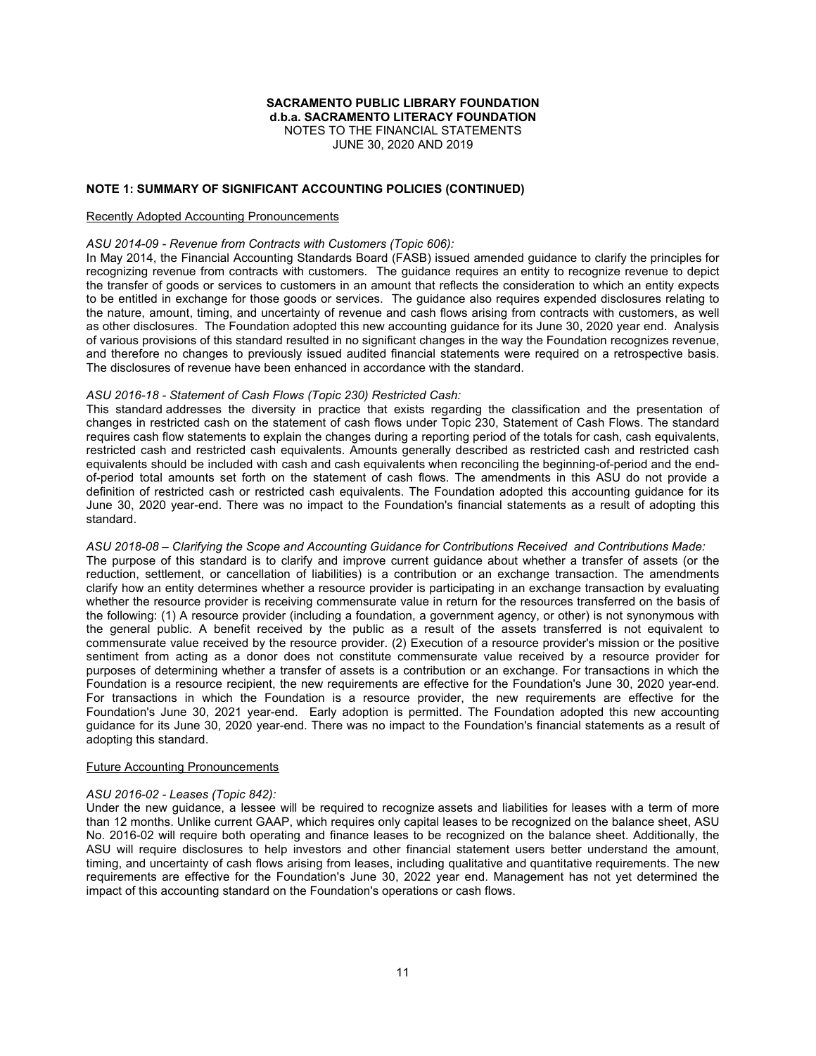JUNE 30, 2020 AND 2019

### **NOTE 1: SUMMARY OF SIGNIFICANT ACCOUNTING POLICIES (CONTINUED)**

#### Recently Adopted Accounting Pronouncements

### *ASU 2014-09 - Revenue from Contracts with Customers (Topic 606):*

In May 2014, the Financial Accounting Standards Board (FASB) issued amended guidance to clarify the principles for recognizing revenue from contracts with customers. The guidance requires an entity to recognize revenue to depict the transfer of goods or services to customers in an amount that reflects the consideration to which an entity expects to be entitled in exchange for those goods or services. The guidance also requires expended disclosures relating to the nature, amount, timing, and uncertainty of revenue and cash flows arising from contracts with customers, as well as other disclosures. The Foundation adopted this new accounting guidance for its June 30, 2020 year end. Analysis of various provisions of this standard resulted in no significant changes in the way the Foundation recognizes revenue, and therefore no changes to previously issued audited financial statements were required on a retrospective basis. The disclosures of revenue have been enhanced in accordance with the standard.

### *ASU 2016-18 - Statement of Cash Flows (Topic 230) Restricted Cash:*

This standard addresses the diversity in practice that exists regarding the classification and the presentation of changes in restricted cash on the statement of cash flows under Topic 230, Statement of Cash Flows. The standard requires cash flow statements to explain the changes during a reporting period of the totals for cash, cash equivalents, restricted cash and restricted cash equivalents. Amounts generally described as restricted cash and restricted cash equivalents should be included with cash and cash equivalents when reconciling the beginning-of-period and the endof-period total amounts set forth on the statement of cash flows. The amendments in this ASU do not provide a definition of restricted cash or restricted cash equivalents. The Foundation adopted this accounting guidance for its June 30, 2020 year-end. There was no impact to the Foundation's financial statements as a result of adopting this standard.

### *ASU 2018-08 – Clarifying the Scope and Accounting Guidance for Contributions Received and Contributions Made:*

The purpose of this standard is to clarify and improve current guidance about whether a transfer of assets (or the reduction, settlement, or cancellation of liabilities) is a contribution or an exchange transaction. The amendments clarify how an entity determines whether a resource provider is participating in an exchange transaction by evaluating whether the resource provider is receiving commensurate value in return for the resources transferred on the basis of the following: (1) A resource provider (including a foundation, a government agency, or other) is not synonymous with the general public. A benefit received by the public as a result of the assets transferred is not equivalent to commensurate value received by the resource provider. (2) Execution of a resource provider's mission or the positive sentiment from acting as a donor does not constitute commensurate value received by a resource provider for purposes of determining whether a transfer of assets is a contribution or an exchange. For transactions in which the Foundation is a resource recipient, the new requirements are effective for the Foundation's June 30, 2020 year-end. For transactions in which the Foundation is a resource provider, the new requirements are effective for the Foundation's June 30, 2021 year-end. Early adoption is permitted. The Foundation adopted this new accounting guidance for its June 30, 2020 year-end. There was no impact to the Foundation's financial statements as a result of adopting this standard.

#### Future Accounting Pronouncements

### *ASU 2016-02 - Leases (Topic 842):*

Under the new guidance, a lessee will be required to recognize assets and liabilities for leases with a term of more than 12 months. Unlike current GAAP, which requires only capital leases to be recognized on the balance sheet, ASU No. 2016-02 will require both operating and finance leases to be recognized on the balance sheet. Additionally, the ASU will require disclosures to help investors and other financial statement users better understand the amount, timing, and uncertainty of cash flows arising from leases, including qualitative and quantitative requirements. The new requirements are effective for the Foundation's June 30, 2022 year end. Management has not yet determined the impact of this accounting standard on the Foundation's operations or cash flows.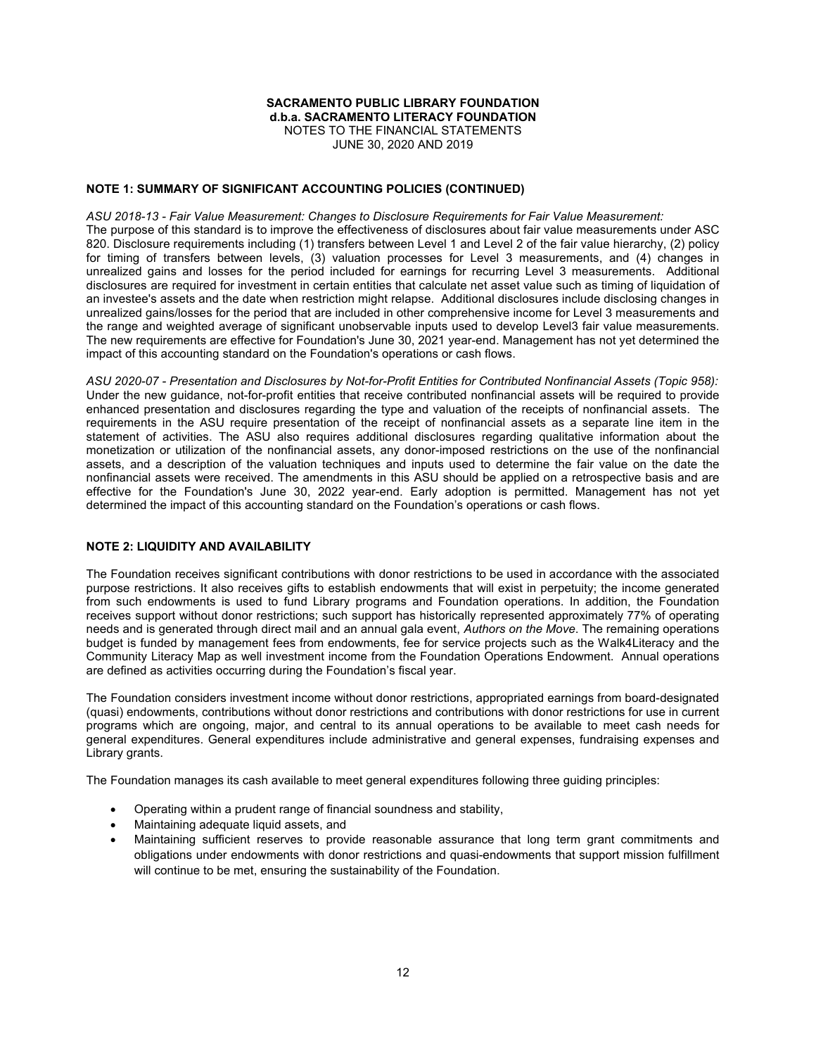### **NOTE 1: SUMMARY OF SIGNIFICANT ACCOUNTING POLICIES (CONTINUED)**

*ASU 2018-13 - Fair Value Measurement: Changes to Disclosure Requirements for Fair Value Measurement:* The purpose of this standard is to improve the effectiveness of disclosures about fair value measurements under ASC 820. Disclosure requirements including (1) transfers between Level 1 and Level 2 of the fair value hierarchy, (2) policy for timing of transfers between levels, (3) valuation processes for Level 3 measurements, and (4) changes in unrealized gains and losses for the period included for earnings for recurring Level 3 measurements. Additional disclosures are required for investment in certain entities that calculate net asset value such as timing of liquidation of an investee's assets and the date when restriction might relapse. Additional disclosures include disclosing changes in unrealized gains/losses for the period that are included in other comprehensive income for Level 3 measurements and the range and weighted average of significant unobservable inputs used to develop Level3 fair value measurements. The new requirements are effective for Foundation's June 30, 2021 year-end. Management has not yet determined the impact of this accounting standard on the Foundation's operations or cash flows.

*ASU 2020-07 - Presentation and Disclosures by Not-for-Profit Entities for Contributed Nonfinancial Assets (Topic 958):* Under the new guidance, not-for-profit entities that receive contributed nonfinancial assets will be required to provide enhanced presentation and disclosures regarding the type and valuation of the receipts of nonfinancial assets. The requirements in the ASU require presentation of the receipt of nonfinancial assets as a separate line item in the statement of activities. The ASU also requires additional disclosures regarding qualitative information about the monetization or utilization of the nonfinancial assets, any donor-imposed restrictions on the use of the nonfinancial assets, and a description of the valuation techniques and inputs used to determine the fair value on the date the nonfinancial assets were received. The amendments in this ASU should be applied on a retrospective basis and are effective for the Foundation's June 30, 2022 year-end. Early adoption is permitted. Management has not yet determined the impact of this accounting standard on the Foundation's operations or cash flows.

### **NOTE 2: LIQUIDITY AND AVAILABILITY**

The Foundation receives significant contributions with donor restrictions to be used in accordance with the associated purpose restrictions. It also receives gifts to establish endowments that will exist in perpetuity; the income generated from such endowments is used to fund Library programs and Foundation operations. In addition, the Foundation receives support without donor restrictions; such support has historically represented approximately 77% of operating needs and is generated through direct mail and an annual gala event, *Authors on the Move*. The remaining operations budget is funded by management fees from endowments, fee for service projects such as the Walk4Literacy and the Community Literacy Map as well investment income from the Foundation Operations Endowment. Annual operations are defined as activities occurring during the Foundation's fiscal year.

The Foundation considers investment income without donor restrictions, appropriated earnings from board-designated (quasi) endowments, contributions without donor restrictions and contributions with donor restrictions for use in current programs which are ongoing, major, and central to its annual operations to be available to meet cash needs for general expenditures. General expenditures include administrative and general expenses, fundraising expenses and Library grants.

The Foundation manages its cash available to meet general expenditures following three guiding principles:

- Operating within a prudent range of financial soundness and stability,
- Maintaining adequate liquid assets, and
- Maintaining sufficient reserves to provide reasonable assurance that long term grant commitments and obligations under endowments with donor restrictions and quasi-endowments that support mission fulfillment will continue to be met, ensuring the sustainability of the Foundation.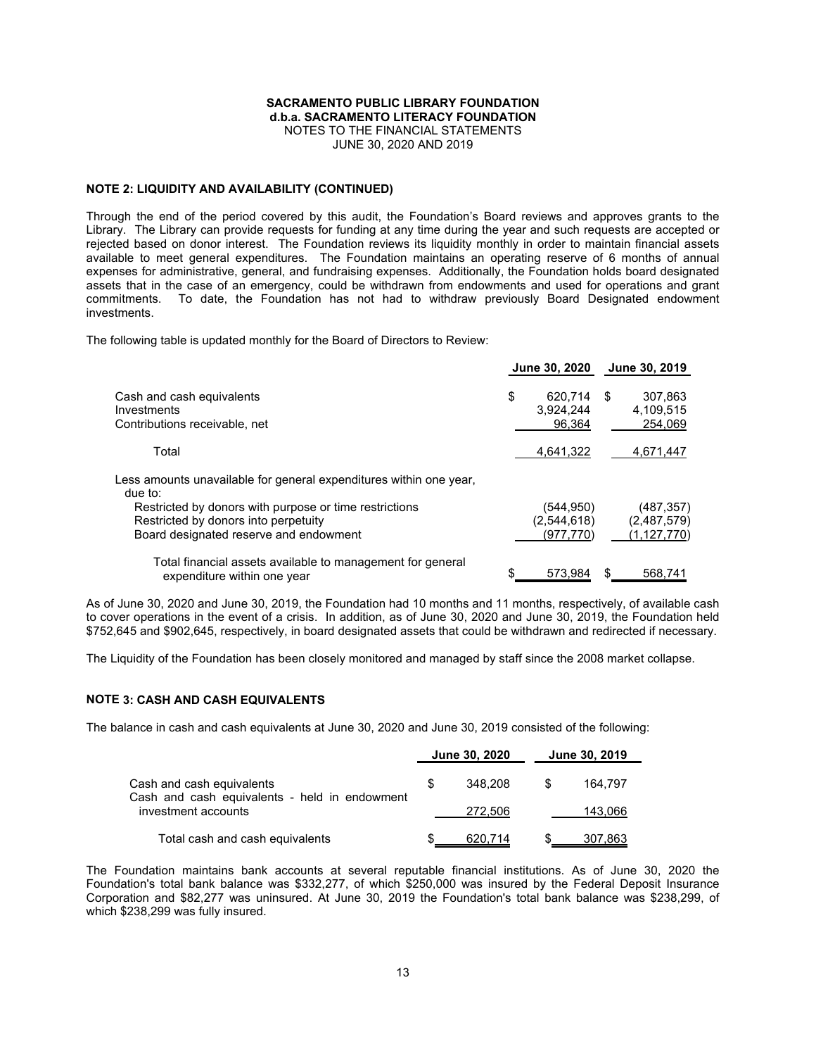### **NOTE 2: LIQUIDITY AND AVAILABILITY (CONTINUED)**

Through the end of the period covered by this audit, the Foundation's Board reviews and approves grants to the Library. The Library can provide requests for funding at any time during the year and such requests are accepted or rejected based on donor interest. The Foundation reviews its liquidity monthly in order to maintain financial assets available to meet general expenditures. The Foundation maintains an operating reserve of 6 months of annual expenses for administrative, general, and fundraising expenses. Additionally, the Foundation holds board designated assets that in the case of an emergency, could be withdrawn from endowments and used for operations and grant commitments. To date, the Foundation has not had to withdraw previously Board Designated endowment investments.

**June 30, 2020 June 30, 2019**

The following table is updated monthly for the Board of Directors to Review:

|                                                                                                                                          | June 30, 2020                         |      | June 30, 2019                              |
|------------------------------------------------------------------------------------------------------------------------------------------|---------------------------------------|------|--------------------------------------------|
| Cash and cash equivalents<br>Investments<br>Contributions receivable, net                                                                | \$<br>620.714<br>3.924.244<br>96.364  | - \$ | 307,863<br>4,109,515<br>254.069            |
| Total                                                                                                                                    | 4,641,322                             |      | 4,671,447                                  |
| Less amounts unavailable for general expenditures within one year,<br>due to:                                                            |                                       |      |                                            |
| Restricted by donors with purpose or time restrictions<br>Restricted by donors into perpetuity<br>Board designated reserve and endowment | (544,950)<br>(2,544,618)<br>(977.770) |      | (487, 357)<br>(2,487,579)<br>(1, 127, 770) |
| Total financial assets available to management for general<br>expenditure within one year                                                | 573.984                               |      | 568,741                                    |

As of June 30, 2020 and June 30, 2019, the Foundation had 10 months and 11 months, respectively, of available cash to cover operations in the event of a crisis. In addition, as of June 30, 2020 and June 30, 2019, the Foundation held \$752,645 and \$902,645, respectively, in board designated assets that could be withdrawn and redirected if necessary.

The Liquidity of the Foundation has been closely monitored and managed by staff since the 2008 market collapse.

#### **NOTE 3: CASH AND CASH EQUIVALENTS**

The balance in cash and cash equivalents at June 30, 2020 and June 30, 2019 consisted of the following:

|                                                                            |   | June 30, 2020 | June 30, 2019 |         |  |
|----------------------------------------------------------------------------|---|---------------|---------------|---------|--|
| Cash and cash equivalents<br>Cash and cash equivalents - held in endowment | S | 348.208       |               | 164.797 |  |
| investment accounts                                                        |   | 272.506       |               | 143,066 |  |
| Total cash and cash equivalents                                            |   | 620,714       |               | 307,863 |  |

The Foundation maintains bank accounts at several reputable financial institutions. As of June 30, 2020 the Foundation's total bank balance was \$332,277, of which \$250,000 was insured by the Federal Deposit Insurance Corporation and \$82,277 was uninsured. At June 30, 2019 the Foundation's total bank balance was \$238,299, of which \$238,299 was fully insured.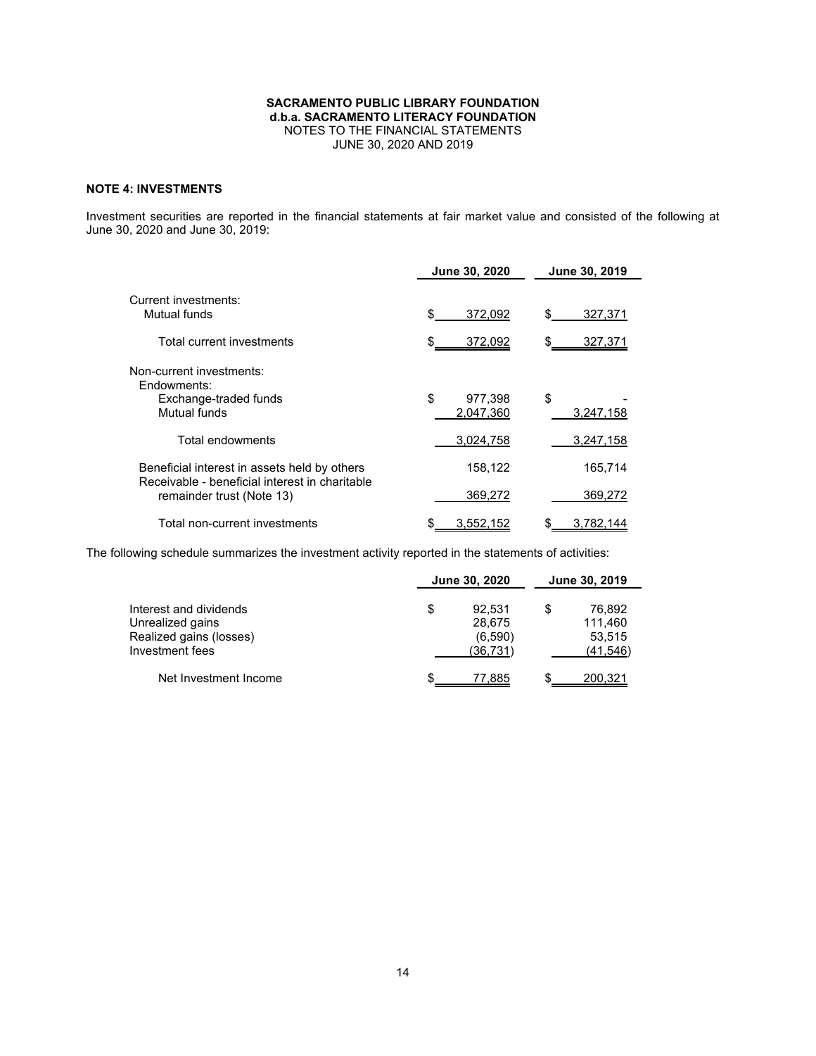## **NOTE 4: INVESTMENTS**

Investment securities are reported in the financial statements at fair market value and consisted of the following at June 30, 2020 and June 30, 2019:

|                                                                                                | June 30, 2020              | June 30, 2019   |
|------------------------------------------------------------------------------------------------|----------------------------|-----------------|
| Current investments:<br>Mutual funds                                                           | 372,092                    | \$<br>327,371   |
| Total current investments                                                                      | 372,092                    | \$<br>327,371   |
| Non-current investments:<br>Endowments:<br>Exchange-traded funds<br>Mutual funds               | \$<br>977,398<br>2.047.360 | \$<br>3,247,158 |
| Total endowments                                                                               | 3,024,758                  | 3,247,158       |
| Beneficial interest in assets held by others<br>Receivable - beneficial interest in charitable | 158,122                    | 165.714         |
| remainder trust (Note 13)                                                                      | 369,272                    | 369,272         |
| Total non-current investments                                                                  | 3,552,152                  | 3.782.144       |

The following schedule summarizes the investment activity reported in the statements of activities:

|                                                                                          | June 30, 2020                                 | June 30, 2019 |                                         |  |  |
|------------------------------------------------------------------------------------------|-----------------------------------------------|---------------|-----------------------------------------|--|--|
| Interest and dividends<br>Unrealized gains<br>Realized gains (losses)<br>Investment fees | \$<br>92.531<br>28,675<br>(6,590)<br>(36.731) | S             | 76.892<br>111,460<br>53,515<br>(41,546) |  |  |
| Net Investment Income                                                                    | 77.885                                        |               | 200,321                                 |  |  |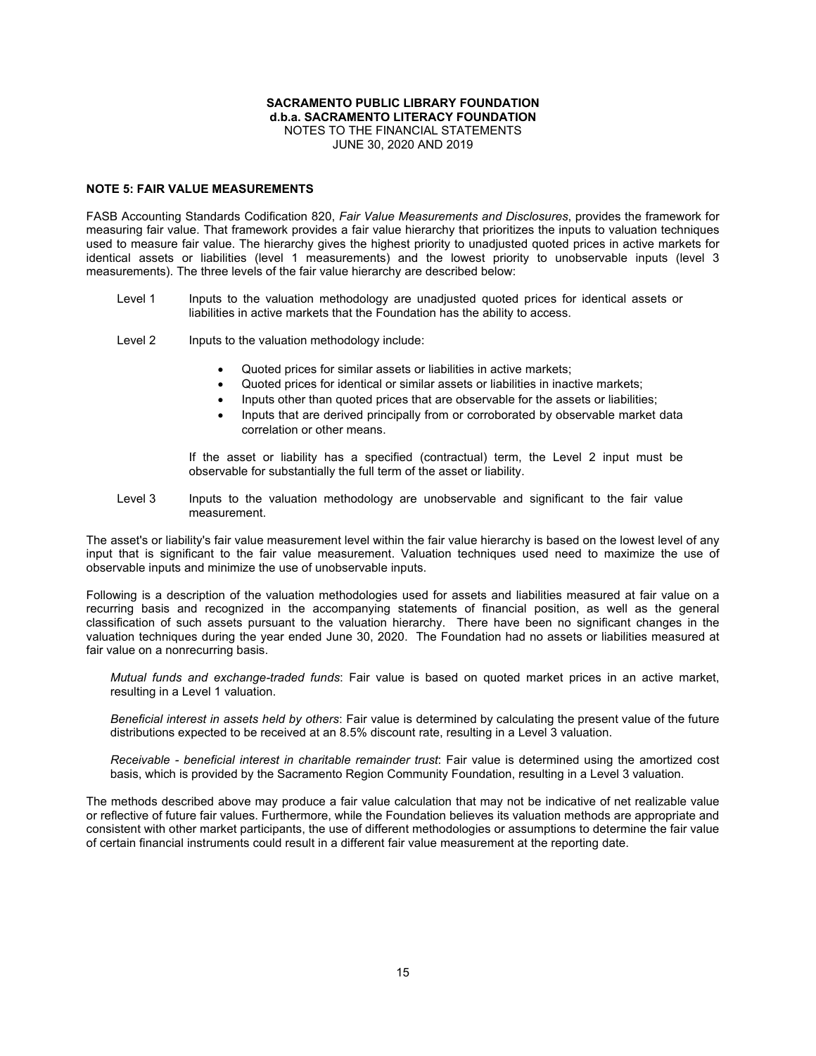#### **NOTE 5: FAIR VALUE MEASUREMENTS**

FASB Accounting Standards Codification 820, *Fair Value Measurements and Disclosures*, provides the framework for measuring fair value. That framework provides a fair value hierarchy that prioritizes the inputs to valuation techniques used to measure fair value. The hierarchy gives the highest priority to unadjusted quoted prices in active markets for identical assets or liabilities (level 1 measurements) and the lowest priority to unobservable inputs (level 3 measurements). The three levels of the fair value hierarchy are described below:

- Level 1 Inputs to the valuation methodology are unadjusted quoted prices for identical assets or liabilities in active markets that the Foundation has the ability to access.
- Level 2 Inputs to the valuation methodology include:
	- Quoted prices for similar assets or liabilities in active markets;
	- Quoted prices for identical or similar assets or liabilities in inactive markets;
	- Inputs other than quoted prices that are observable for the assets or liabilities;
	- Inputs that are derived principally from or corroborated by observable market data correlation or other means.

If the asset or liability has a specified (contractual) term, the Level 2 input must be observable for substantially the full term of the asset or liability.

Level 3 Inputs to the valuation methodology are unobservable and significant to the fair value measurement.

The asset's or liability's fair value measurement level within the fair value hierarchy is based on the lowest level of any input that is significant to the fair value measurement. Valuation techniques used need to maximize the use of observable inputs and minimize the use of unobservable inputs.

Following is a description of the valuation methodologies used for assets and liabilities measured at fair value on a recurring basis and recognized in the accompanying statements of financial position, as well as the general classification of such assets pursuant to the valuation hierarchy. There have been no significant changes in the valuation techniques during the year ended June 30, 2020. The Foundation had no assets or liabilities measured at fair value on a nonrecurring basis.

*Mutual funds and exchange-traded funds*: Fair value is based on quoted market prices in an active market, resulting in a Level 1 valuation.

*Beneficial interest in assets held by others*: Fair value is determined by calculating the present value of the future distributions expected to be received at an 8.5% discount rate, resulting in a Level 3 valuation.

*Receivable - beneficial interest in charitable remainder trust*: Fair value is determined using the amortized cost basis, which is provided by the Sacramento Region Community Foundation, resulting in a Level 3 valuation.

The methods described above may produce a fair value calculation that may not be indicative of net realizable value or reflective of future fair values. Furthermore, while the Foundation believes its valuation methods are appropriate and consistent with other market participants, the use of different methodologies or assumptions to determine the fair value of certain financial instruments could result in a different fair value measurement at the reporting date.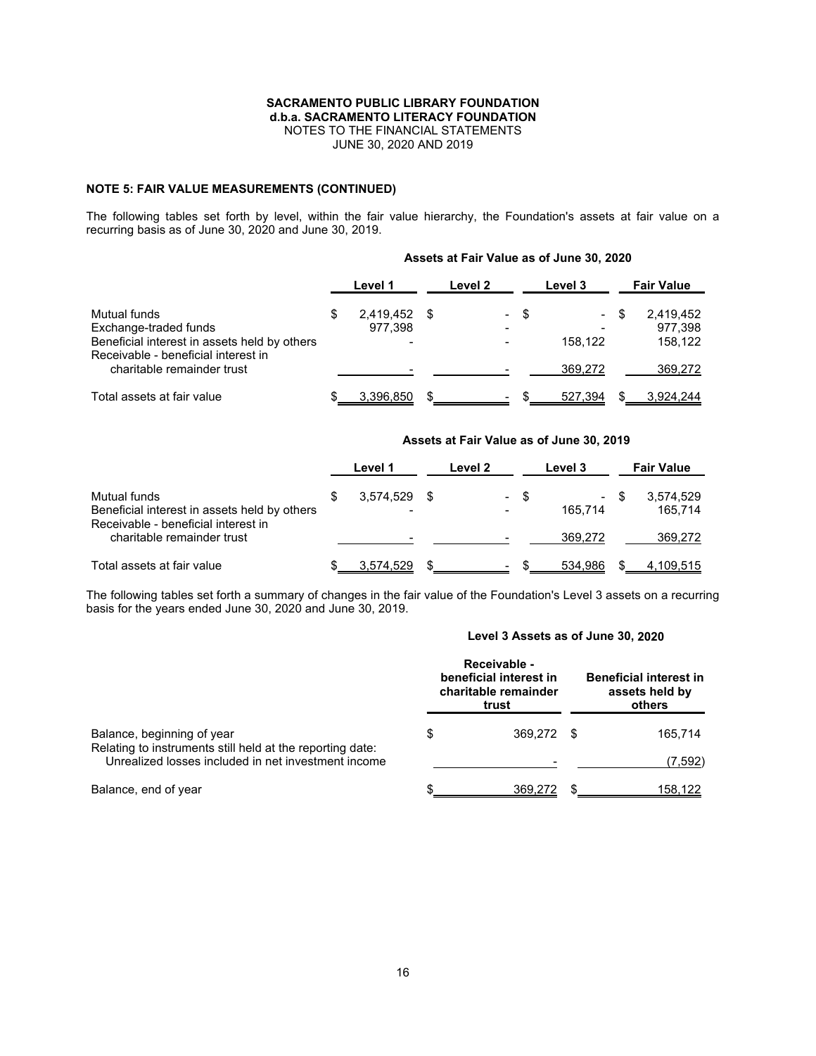### **NOTE 5: FAIR VALUE MEASUREMENTS (CONTINUED)**

The following tables set forth by level, within the fair value hierarchy, the Foundation's assets at fair value on a recurring basis as of June 30, 2020 and June 30, 2019.

|                                                                                                                              | Level 1              |    | Level 2 |      | Level 3                    |      | <b>Fair Value</b>               |
|------------------------------------------------------------------------------------------------------------------------------|----------------------|----|---------|------|----------------------------|------|---------------------------------|
| Mutual funds<br>Exchange-traded funds<br>Beneficial interest in assets held by others<br>Receivable - beneficial interest in | 2,419,452<br>977.398 | S. |         | - \$ | $\qquad \qquad$<br>158.122 | - \$ | 2,419,452<br>977,398<br>158.122 |
| charitable remainder trust                                                                                                   |                      |    |         |      | 369.272                    |      | 369,272                         |
| Total assets at fair value                                                                                                   | 3,396,850            |    |         |      | 527.394                    |      | 3.924.244                       |

### **Assets at Fair Value as of June 30, 2020**

## **Assets at Fair Value as of June 30, 2019**

|                                                                                                     | Level 1        | Level 2                          |   | Level 3                   |     | <b>Fair Value</b>    |
|-----------------------------------------------------------------------------------------------------|----------------|----------------------------------|---|---------------------------|-----|----------------------|
| Mutual funds<br>Beneficial interest in assets held by others<br>Receivable - beneficial interest in | 3.574.529<br>- | $\blacksquare$<br>$\blacksquare$ | S | $\blacksquare$<br>165.714 | \$. | 3,574,529<br>165.714 |
| charitable remainder trust                                                                          |                |                                  |   | 369.272                   |     | 369,272              |
| Total assets at fair value                                                                          | 3,574,529      | $\,$                             |   | 534,986                   |     | 4,109,515            |

The following tables set forth a summary of changes in the fair value of the Foundation's Level 3 assets on a recurring basis for the years ended June 30, 2020 and June 30, 2019.

### **Level 3 Assets as of June 30, 2020**

|                                                                                                                  | Receivable -<br>beneficial interest in<br>charitable remainder<br>trust |      | <b>Beneficial interest in</b><br>assets held by<br>others |  |  |  |
|------------------------------------------------------------------------------------------------------------------|-------------------------------------------------------------------------|------|-----------------------------------------------------------|--|--|--|
| Balance, beginning of year                                                                                       | 369.272                                                                 | - \$ | 165.714                                                   |  |  |  |
| Relating to instruments still held at the reporting date:<br>Unrealized losses included in net investment income |                                                                         |      | (7,592)                                                   |  |  |  |
| Balance, end of year                                                                                             | 369,272                                                                 |      | 158.122                                                   |  |  |  |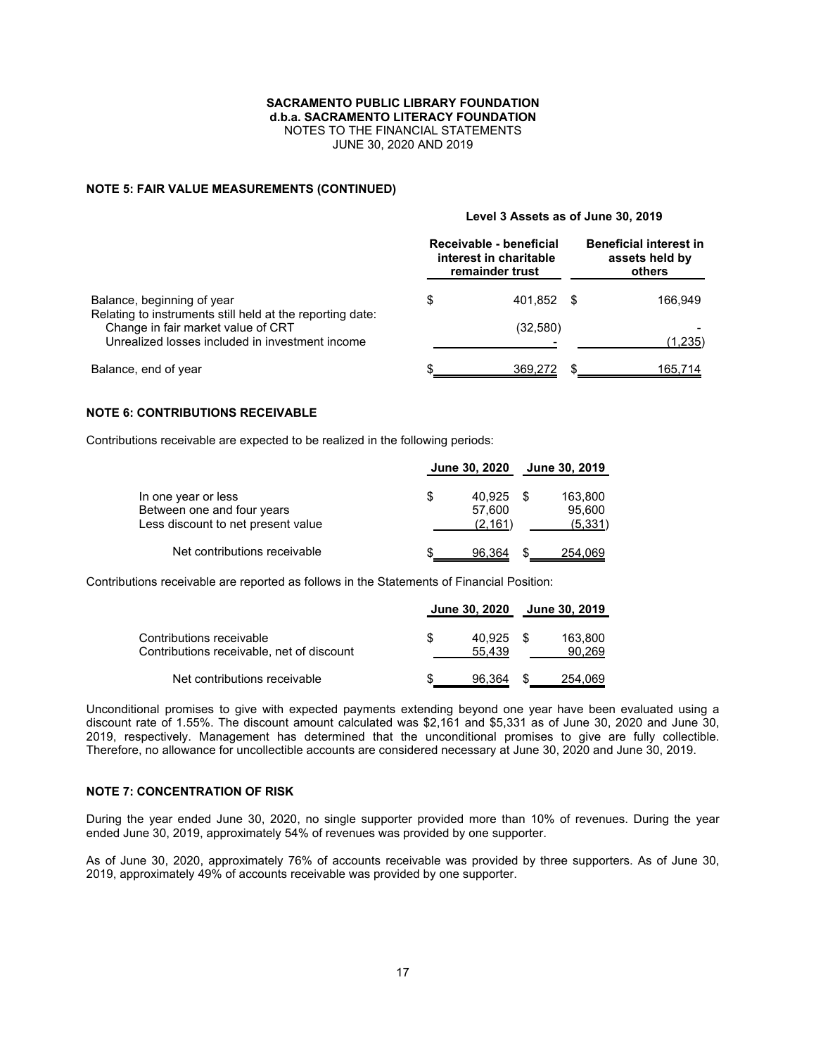JUNE 30, 2020 AND 2019

### **NOTE 5: FAIR VALUE MEASUREMENTS (CONTINUED)**

### **Level 3 Assets as of June 30, 2019**

|                                                                                                                                                    |   | Receivable - beneficial<br>interest in charitable<br>remainder trust |     | <b>Beneficial interest in</b><br>assets held by<br>others |  |  |  |
|----------------------------------------------------------------------------------------------------------------------------------------------------|---|----------------------------------------------------------------------|-----|-----------------------------------------------------------|--|--|--|
| Balance, beginning of year                                                                                                                         | S | 401.852                                                              | - S | 166,949                                                   |  |  |  |
| Relating to instruments still held at the reporting date:<br>Change in fair market value of CRT<br>Unrealized losses included in investment income |   | (32, 580)                                                            |     | (1,235)                                                   |  |  |  |
|                                                                                                                                                    |   |                                                                      |     |                                                           |  |  |  |
| Balance, end of year                                                                                                                               |   | 369,272                                                              |     | 165,714                                                   |  |  |  |

### **NOTE 6: CONTRIBUTIONS RECEIVABLE**

Contributions receivable are expected to be realized in the following periods:

|                                                                                         |   | June 30, 2020               | <b>June 30, 2019</b>          |
|-----------------------------------------------------------------------------------------|---|-----------------------------|-------------------------------|
| In one year or less<br>Between one and four years<br>Less discount to net present value | S | 40.925<br>57.600<br>(2.161) | 163,800<br>95,600<br>(5, 331) |
| Net contributions receivable                                                            |   | 96.364                      | 254,069                       |

Contributions receivable are reported as follows in the Statements of Financial Position:

|                                                                       | June 30, 2020    | June 30, 2019     |
|-----------------------------------------------------------------------|------------------|-------------------|
| Contributions receivable<br>Contributions receivable, net of discount | 40.925<br>55.439 | 163,800<br>90,269 |
| Net contributions receivable                                          | 96,364           | 254,069           |

Unconditional promises to give with expected payments extending beyond one year have been evaluated using a discount rate of 1.55%. The discount amount calculated was \$2,161 and \$5,331 as of June 30, 2020 and June 30, 2019, respectively. Management has determined that the unconditional promises to give are fully collectible. Therefore, no allowance for uncollectible accounts are considered necessary at June 30, 2020 and June 30, 2019.

### **NOTE 7: CONCENTRATION OF RISK**

During the year ended June 30, 2020, no single supporter provided more than 10% of revenues. During the year ended June 30, 2019, approximately 54% of revenues was provided by one supporter.

As of June 30, 2020, approximately 76% of accounts receivable was provided by three supporters. As of June 30, 2019, approximately 49% of accounts receivable was provided by one supporter.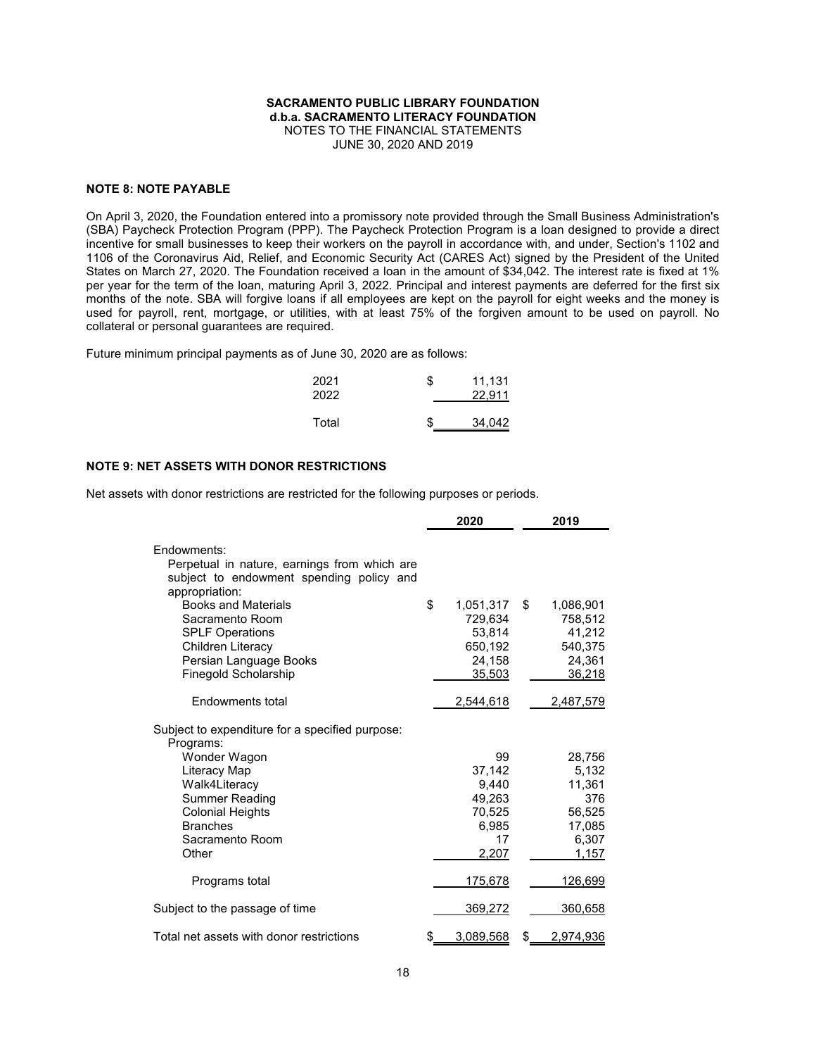### **NOTE 8: NOTE PAYABLE**

On April 3, 2020, the Foundation entered into a promissory note provided through the Small Business Administration's (SBA) Paycheck Protection Program (PPP). The Paycheck Protection Program is a loan designed to provide a direct incentive for small businesses to keep their workers on the payroll in accordance with, and under, Section's 1102 and 1106 of the Coronavirus Aid, Relief, and Economic Security Act (CARES Act) signed by the President of the United States on March 27, 2020. The Foundation received a loan in the amount of \$34,042. The interest rate is fixed at 1% per year for the term of the loan, maturing April 3, 2022. Principal and interest payments are deferred for the first six months of the note. SBA will forgive loans if all employees are kept on the payroll for eight weeks and the money is used for payroll, rent, mortgage, or utilities, with at least 75% of the forgiven amount to be used on payroll. No collateral or personal guarantees are required.

Future minimum principal payments as of June 30, 2020 are as follows:

| 2021<br>2022 | \$<br>11,131<br>22.911 |
|--------------|------------------------|
| Total        | \$<br>34,042           |

### **NOTE 9: NET ASSETS WITH DONOR RESTRICTIONS**

Net assets with donor restrictions are restricted for the following purposes or periods.

|                                                                                                                                                                           |    | 2020                                                                       | 2019                                                                             |
|---------------------------------------------------------------------------------------------------------------------------------------------------------------------------|----|----------------------------------------------------------------------------|----------------------------------------------------------------------------------|
| Fndowments:<br>Perpetual in nature, earnings from which are<br>subject to endowment spending policy and<br>appropriation:                                                 |    |                                                                            |                                                                                  |
| <b>Books and Materials</b><br>Sacramento Room<br><b>SPLF Operations</b><br>Children Literacy<br>Persian Language Books<br>Finegold Scholarship<br><b>Fndowments total</b> | \$ | 1,051,317<br>729,634<br>53,814<br>650,192<br>24,158<br>35,503<br>2,544,618 | \$<br>1,086,901<br>758,512<br>41,212<br>540,375<br>24,361<br>36,218<br>2,487,579 |
| Subject to expenditure for a specified purpose:<br>Programs:                                                                                                              |    |                                                                            |                                                                                  |
| Wonder Wagon<br>Literacy Map<br>Walk4Literacy<br>Summer Reading<br><b>Colonial Heights</b><br><b>Branches</b><br>Sacramento Room<br>Other                                 |    | 99<br>37.142<br>9.440<br>49,263<br>70,525<br>6,985<br>17<br>2,207          | 28,756<br>5,132<br>11.361<br>376<br>56,525<br>17,085<br>6,307<br>1,157           |
| Programs total                                                                                                                                                            |    | 175,678                                                                    | 126,699                                                                          |
| Subject to the passage of time                                                                                                                                            |    | 369,272                                                                    | 360,658                                                                          |
| Total net assets with donor restrictions                                                                                                                                  | S  | 3,089,568                                                                  | \$<br>2,974,936                                                                  |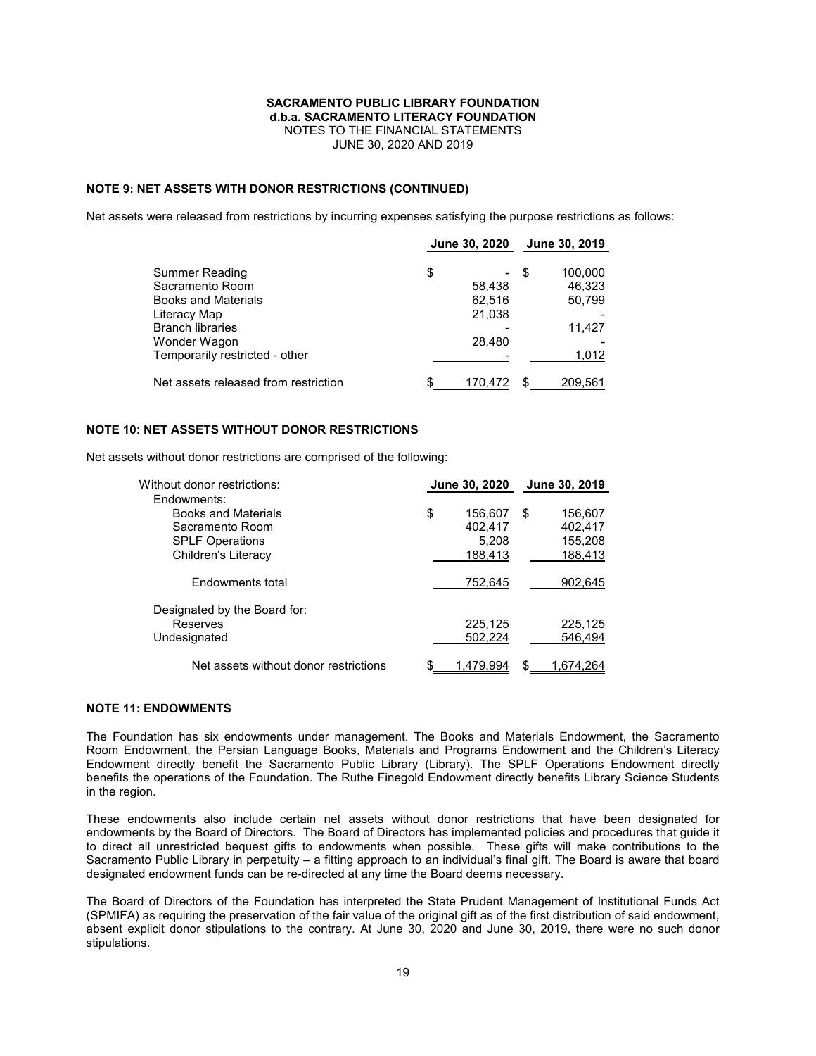### **NOTE 9: NET ASSETS WITH DONOR RESTRICTIONS (CONTINUED)**

Net assets were released from restrictions by incurring expenses satisfying the purpose restrictions as follows:

|                                      | June 30, 2020 |                |
|--------------------------------------|---------------|----------------|
| Summer Reading                       | \$            | 100,000<br>\$. |
| Sacramento Room                      | 58,438        | 46.323         |
| <b>Books and Materials</b>           | 62,516        | 50,799         |
| Literacy Map                         | 21,038        |                |
| <b>Branch libraries</b>              |               | 11,427         |
| Wonder Wagon                         | 28,480        |                |
| Temporarily restricted - other       |               | 1,012          |
| Net assets released from restriction | 170,472       | 209,561        |

### **NOTE 10: NET ASSETS WITHOUT DONOR RESTRICTIONS**

Net assets without donor restrictions are comprised of the following:

| Without donor restrictions:           | June 30, 2020 |           | June 30, 2019 |
|---------------------------------------|---------------|-----------|---------------|
| Endowments:                           |               |           |               |
| <b>Books and Materials</b>            | \$            | 156.607   | \$<br>156.607 |
| Sacramento Room                       |               | 402.417   | 402,417       |
| <b>SPLF Operations</b>                |               | 5,208     | 155,208       |
| Children's Literacy                   |               | 188,413   | 188,413       |
| <b>Fndowments total</b>               |               | 752,645   | 902,645       |
| Designated by the Board for:          |               |           |               |
| Reserves                              |               | 225,125   | 225,125       |
| Undesignated                          |               | 502.224   | 546,494       |
| Net assets without donor restrictions | \$            | 1.479.994 | 1.674.264     |

### **NOTE 11: ENDOWMENTS**

The Foundation has six endowments under management. The Books and Materials Endowment, the Sacramento Room Endowment, the Persian Language Books, Materials and Programs Endowment and the Children's Literacy Endowment directly benefit the Sacramento Public Library (Library). The SPLF Operations Endowment directly benefits the operations of the Foundation. The Ruthe Finegold Endowment directly benefits Library Science Students in the region.

These endowments also include certain net assets without donor restrictions that have been designated for endowments by the Board of Directors. The Board of Directors has implemented policies and procedures that guide it to direct all unrestricted bequest gifts to endowments when possible. These gifts will make contributions to the Sacramento Public Library in perpetuity – a fitting approach to an individual's final gift. The Board is aware that board designated endowment funds can be re-directed at any time the Board deems necessary.

The Board of Directors of the Foundation has interpreted the State Prudent Management of Institutional Funds Act (SPMIFA) as requiring the preservation of the fair value of the original gift as of the first distribution of said endowment, absent explicit donor stipulations to the contrary. At June 30, 2020 and June 30, 2019, there were no such donor stipulations.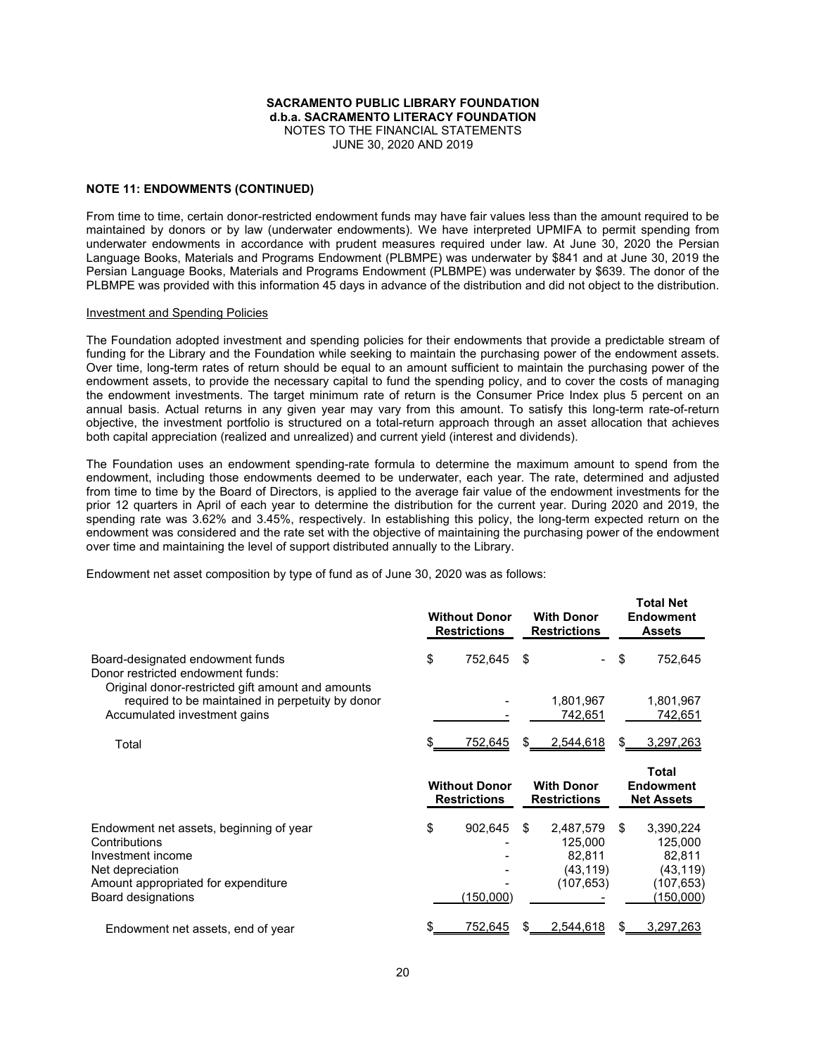### **NOTE 11: ENDOWMENTS (CONTINUED)**

From time to time, certain donor-restricted endowment funds may have fair values less than the amount required to be maintained by donors or by law (underwater endowments). We have interpreted UPMIFA to permit spending from underwater endowments in accordance with prudent measures required under law. At June 30, 2020 the Persian Language Books, Materials and Programs Endowment (PLBMPE) was underwater by \$841 and at June 30, 2019 the Persian Language Books, Materials and Programs Endowment (PLBMPE) was underwater by \$639. The donor of the PLBMPE was provided with this information 45 days in advance of the distribution and did not object to the distribution.

#### Investment and Spending Policies

The Foundation adopted investment and spending policies for their endowments that provide a predictable stream of funding for the Library and the Foundation while seeking to maintain the purchasing power of the endowment assets. Over time, long-term rates of return should be equal to an amount sufficient to maintain the purchasing power of the endowment assets, to provide the necessary capital to fund the spending policy, and to cover the costs of managing the endowment investments. The target minimum rate of return is the Consumer Price Index plus 5 percent on an annual basis. Actual returns in any given year may vary from this amount. To satisfy this long-term rate-of-return objective, the investment portfolio is structured on a total-return approach through an asset allocation that achieves both capital appreciation (realized and unrealized) and current yield (interest and dividends).

The Foundation uses an endowment spending-rate formula to determine the maximum amount to spend from the endowment, including those endowments deemed to be underwater, each year. The rate, determined and adjusted from time to time by the Board of Directors, is applied to the average fair value of the endowment investments for the prior 12 quarters in April of each year to determine the distribution for the current year. During 2020 and 2019, the spending rate was 3.62% and 3.45%, respectively. In establishing this policy, the long-term expected return on the endowment was considered and the rate set with the objective of maintaining the purchasing power of the endowment over time and maintaining the level of support distributed annually to the Library.

**Total Net**

Endowment net asset composition by type of fund as of June 30, 2020 was as follows:

|                                                                                                                                                                | <b>Without Donor</b><br><b>Restrictions</b> |    | <b>With Donor</b><br><b>Restrictions</b>                  |    | ו טנמו וזפנ<br><b>Endowment</b><br><b>Assets</b>                              |
|----------------------------------------------------------------------------------------------------------------------------------------------------------------|---------------------------------------------|----|-----------------------------------------------------------|----|-------------------------------------------------------------------------------|
| Board-designated endowment funds<br>Donor restricted endowment funds:                                                                                          | \$<br>752,645                               | \$ |                                                           | \$ | 752,645                                                                       |
| Original donor-restricted gift amount and amounts<br>required to be maintained in perpetuity by donor<br>Accumulated investment gains                          |                                             |    | 1,801,967<br>742,651                                      |    | 1,801,967<br>742,651                                                          |
| Total                                                                                                                                                          | 752,645                                     | S  | 2,544,618                                                 | S  | 3,297,263                                                                     |
|                                                                                                                                                                | <b>Without Donor</b><br><b>Restrictions</b> |    | <b>With Donor</b><br><b>Restrictions</b>                  |    | Total<br><b>Endowment</b><br><b>Net Assets</b>                                |
| Endowment net assets, beginning of year<br>Contributions<br>Investment income<br>Net depreciation<br>Amount appropriated for expenditure<br>Board designations | \$<br>902,645<br>(150,000)                  | \$ | 2,487,579<br>125,000<br>82,811<br>(43, 119)<br>(107, 653) | \$ | 3,390,224<br>125,000<br>82,811<br>(43, 119)<br>(107, 653)<br><u>(150,000)</u> |
| Endowment net assets, end of year                                                                                                                              | 752,645                                     |    | 2,544,618                                                 | \$ | 3,297,263                                                                     |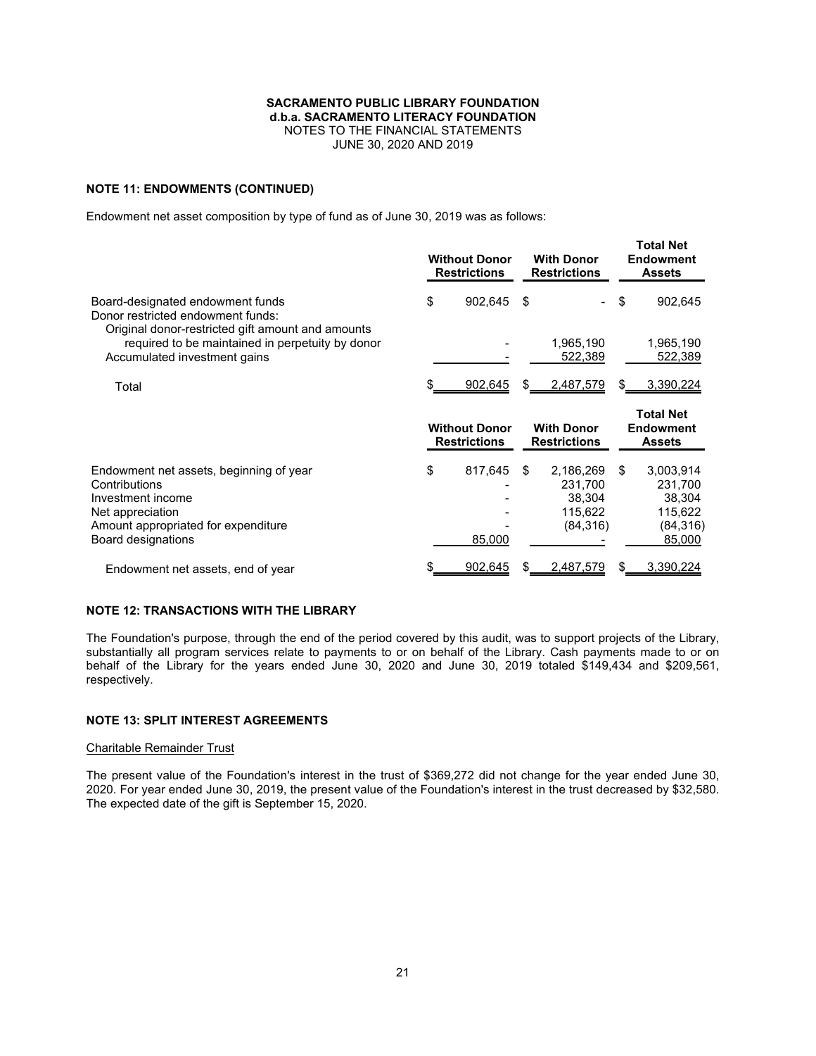### **NOTE 11: ENDOWMENTS (CONTINUED)**

Endowment net asset composition by type of fund as of June 30, 2019 was as follows:

|                                                                                                                                                                | <b>Without Donor</b><br><b>Restrictions</b> |     | <b>With Donor</b><br><b>Restrictions</b>               | <b>Total Net</b><br><b>Endowment</b><br><b>Assets</b>                  |
|----------------------------------------------------------------------------------------------------------------------------------------------------------------|---------------------------------------------|-----|--------------------------------------------------------|------------------------------------------------------------------------|
| Board-designated endowment funds<br>Donor restricted endowment funds:                                                                                          | \$<br>902,645                               | -\$ |                                                        | \$<br>902,645                                                          |
| Original donor-restricted gift amount and amounts<br>required to be maintained in perpetuity by donor<br>Accumulated investment gains                          |                                             |     | 1,965,190<br>522,389                                   | 1,965,190<br>522,389                                                   |
| Total                                                                                                                                                          | 902,645                                     | \$. | 2,487,579                                              | \$<br>3,390,224                                                        |
|                                                                                                                                                                |                                             |     | <b>With Donor</b>                                      | <b>Total Net</b><br><b>Endowment</b>                                   |
|                                                                                                                                                                | <b>Without Donor</b><br><b>Restrictions</b> |     | <b>Restrictions</b>                                    | <b>Assets</b>                                                          |
| Endowment net assets, beginning of year<br>Contributions<br>Investment income<br>Net appreciation<br>Amount appropriated for expenditure<br>Board designations | \$<br>817,645<br>85,000                     | \$. | 2,186,269<br>231,700<br>38,304<br>115,622<br>(84, 316) | \$<br>3,003,914<br>231,700<br>38,304<br>115,622<br>(84, 316)<br>85,000 |

### **NOTE 12: TRANSACTIONS WITH THE LIBRARY**

The Foundation's purpose, through the end of the period covered by this audit, was to support projects of the Library, substantially all program services relate to payments to or on behalf of the Library. Cash payments made to or on behalf of the Library for the years ended June 30, 2020 and June 30, 2019 totaled \$149,434 and \$209,561, respectively.

## **NOTE 13: SPLIT INTEREST AGREEMENTS**

### Charitable Remainder Trust

The present value of the Foundation's interest in the trust of \$369,272 did not change for the year ended June 30, 2020. For year ended June 30, 2019, the present value of the Foundation's interest in the trust decreased by \$32,580. The expected date of the gift is September 15, 2020.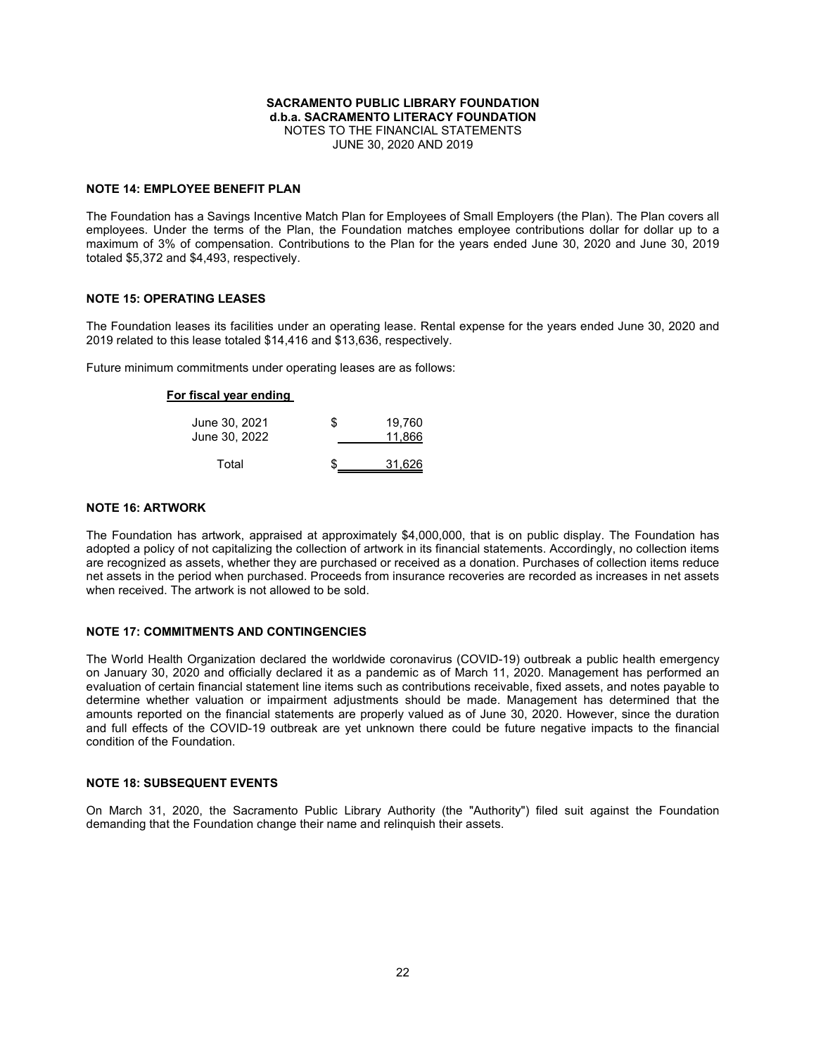#### **NOTE 14: EMPLOYEE BENEFIT PLAN**

The Foundation has a Savings Incentive Match Plan for Employees of Small Employers (the Plan). The Plan covers all employees. Under the terms of the Plan, the Foundation matches employee contributions dollar for dollar up to a maximum of 3% of compensation. Contributions to the Plan for the years ended June 30, 2020 and June 30, 2019 totaled \$5,372 and \$4,493, respectively.

### **NOTE 15: OPERATING LEASES**

The Foundation leases its facilities under an operating lease. Rental expense for the years ended June 30, 2020 and 2019 related to this lease totaled \$14,416 and \$13,636, respectively.

Future minimum commitments under operating leases are as follows:

### **For fiscal year ending**

| June 30, 2021<br>June 30, 2022 | S. | 19.760<br>11.866 |
|--------------------------------|----|------------------|
| Total                          |    | 31,626           |

### **NOTE 16: ARTWORK**

The Foundation has artwork, appraised at approximately \$4,000,000, that is on public display. The Foundation has adopted a policy of not capitalizing the collection of artwork in its financial statements. Accordingly, no collection items are recognized as assets, whether they are purchased or received as a donation. Purchases of collection items reduce net assets in the period when purchased. Proceeds from insurance recoveries are recorded as increases in net assets when received. The artwork is not allowed to be sold.

### **NOTE 17: COMMITMENTS AND CONTINGENCIES**

The World Health Organization declared the worldwide coronavirus (COVID-19) outbreak a public health emergency on January 30, 2020 and officially declared it as a pandemic as of March 11, 2020. Management has performed an evaluation of certain financial statement line items such as contributions receivable, fixed assets, and notes payable to determine whether valuation or impairment adjustments should be made. Management has determined that the amounts reported on the financial statements are properly valued as of June 30, 2020. However, since the duration and full effects of the COVID-19 outbreak are yet unknown there could be future negative impacts to the financial condition of the Foundation.

#### **NOTE 18: SUBSEQUENT EVENTS**

On March 31, 2020, the Sacramento Public Library Authority (the "Authority") filed suit against the Foundation demanding that the Foundation change their name and relinquish their assets.